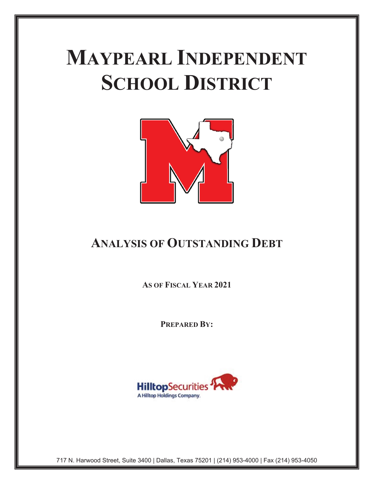# **MAYPEARL INDEPENDENT SCHOOL DISTRICT**



# **ANALYSIS OF OUTSTANDING DEBT**

**AS OF FISCAL YEAR 2021**

**PREPARED BY:** 



717 N. Harwood Street, Suite 3400 | Dallas, Texas 75201 | (214) 953-4000 | Fax (214) 953-4050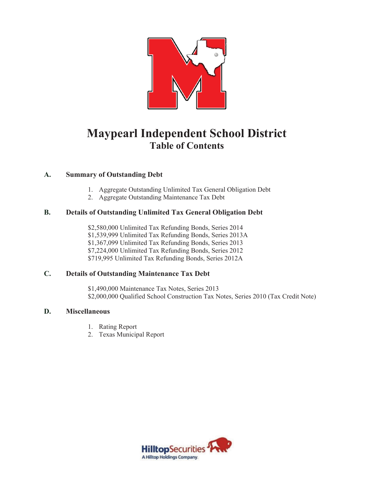

## **Maypearl Independent School District Table of Contents**

### **A. Summary of Outstanding Debt**

- 1. Aggregate Outstanding Unlimited Tax General Obligation Debt
- 2. Aggregate Outstanding Maintenance Tax Debt

### **B. Details of Outstanding Unlimited Tax General Obligation Debt**

\$2,580,000 Unlimited Tax Refunding Bonds, Series 2014 \$1,539,999 Unlimited Tax Refunding Bonds, Series 2013A \$1,367,099 Unlimited Tax Refunding Bonds, Series 2013 \$7,224,000 Unlimited Tax Refunding Bonds, Series 2012 \$719,995 Unlimited Tax Refunding Bonds, Series 2012A

### **C. Details of Outstanding Maintenance Tax Debt**

\$1,490,000 Maintenance Tax Notes, Series 2013 \$2,000,000 Qualified School Construction Tax Notes, Series 2010 (Tax Credit Note)

### **D. Miscellaneous**

- 1. Rating Report
- 2. Texas Municipal Report

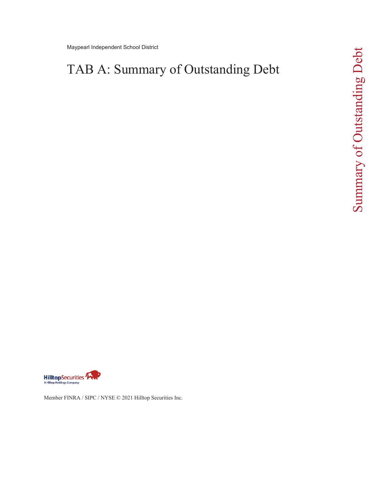Maypearl Independent School District

# TAB A: Summary of Outstanding Debt



Member FINRA / SIPC / NYSE © 2021 Hilltop Securities Inc.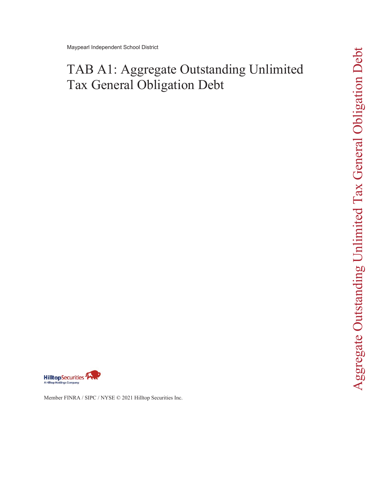# TAB A1: Aggregate Outstanding Unlimited Tax General Obligation Debt



Member FINRA / SIPC / NYSE © 2021 Hilltop Securities Inc.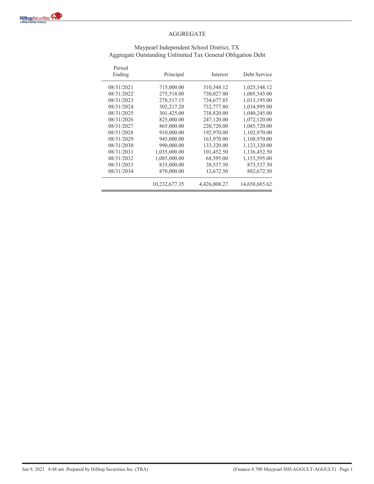

#### Maypearl Independent School District, TX Aggregate Outstanding Unlimited Tax General Obligation Debt

| Period<br>Ending | Principal     | Interest     | Debt Service  |
|------------------|---------------|--------------|---------------|
| 08/31/2021       | 715,000.00    | 310,348.12   | 1,025,348.12  |
| 08/31/2022       | 275,518.00    | 730,027.00   | 1,005,545.00  |
| 08/31/2023       | 278,517.15    | 734,677.85   | 1,013,195.00  |
| 08/31/2024       | 302,217.20    | 732,777.80   | 1,034,995.00  |
| 08/31/2025       | 301,425.00    | 738,820.00   | 1,040,245.00  |
| 08/31/2026       | 825,000.00    | 247,120.00   | 1,072,120.00  |
| 08/31/2027       | 865,000.00    | 220,720.00   | 1,085,720.00  |
| 08/31/2028       | 910,000.00    | 192,970.00   | 1,102,970.00  |
| 08/31/2029       | 945,000.00    | 163,970.00   | 1,108,970.00  |
| 08/31/2030       | 990,000.00    | 133,320.00   | 1,123,320.00  |
| 08/31/2031       | 1,035,000.00  | 101,452.50   | 1,136,452.50  |
| 08/31/2032       | 1,085,000.00  | 68,595.00    | 1,153,595.00  |
| 08/31/2033       | 835,000.00    | 38,537.50    | 873,537.50    |
| 08/31/2034       | 870,000.00    | 12,672.50    | 882,672.50    |
|                  | 10,232,677.35 | 4,426,008.27 | 14,658,685.62 |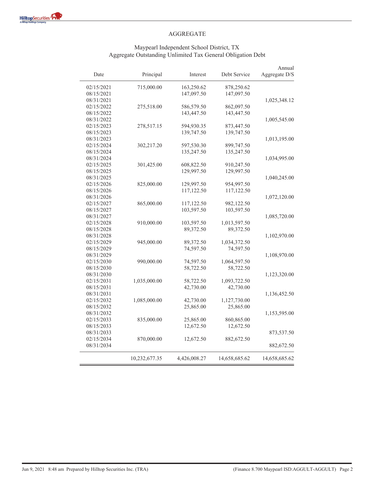#### Maypearl Independent School District, TX Aggregate Outstanding Unlimited Tax General Obligation Debt

| Date       | Principal     | Interest     | Debt Service  | Annual<br>Aggregate D/S |
|------------|---------------|--------------|---------------|-------------------------|
| 02/15/2021 | 715,000.00    | 163,250.62   | 878,250.62    |                         |
| 08/15/2021 |               | 147,097.50   | 147,097.50    |                         |
| 08/31/2021 |               |              |               | 1,025,348.12            |
| 02/15/2022 | 275,518.00    | 586,579.50   | 862,097.50    |                         |
| 08/15/2022 |               | 143,447.50   | 143,447.50    |                         |
| 08/31/2022 |               |              |               | 1,005,545.00            |
| 02/15/2023 | 278,517.15    | 594,930.35   | 873,447.50    |                         |
| 08/15/2023 |               | 139,747.50   | 139,747.50    |                         |
| 08/31/2023 |               |              |               | 1,013,195.00            |
| 02/15/2024 | 302,217.20    | 597,530.30   | 899,747.50    |                         |
| 08/15/2024 |               | 135,247.50   | 135,247.50    |                         |
| 08/31/2024 |               |              |               | 1,034,995.00            |
| 02/15/2025 | 301,425.00    | 608,822.50   | 910,247.50    |                         |
| 08/15/2025 |               | 129,997.50   | 129,997.50    |                         |
| 08/31/2025 |               |              |               | 1,040,245.00            |
| 02/15/2026 | 825,000.00    | 129,997.50   | 954,997.50    |                         |
| 08/15/2026 |               | 117,122.50   | 117,122.50    |                         |
| 08/31/2026 |               |              |               | 1,072,120.00            |
| 02/15/2027 | 865,000.00    | 117,122.50   | 982,122.50    |                         |
| 08/15/2027 |               | 103,597.50   | 103,597.50    |                         |
| 08/31/2027 |               |              |               | 1,085,720.00            |
| 02/15/2028 | 910,000.00    | 103,597.50   | 1,013,597.50  |                         |
| 08/15/2028 |               | 89,372.50    | 89,372.50     |                         |
| 08/31/2028 |               |              |               | 1,102,970.00            |
| 02/15/2029 | 945,000.00    | 89,372.50    | 1,034,372.50  |                         |
| 08/15/2029 |               | 74,597.50    | 74,597.50     |                         |
| 08/31/2029 |               |              |               | 1,108,970.00            |
| 02/15/2030 | 990,000.00    | 74,597.50    | 1,064,597.50  |                         |
| 08/15/2030 |               | 58,722.50    | 58,722.50     |                         |
| 08/31/2030 |               |              |               | 1,123,320.00            |
| 02/15/2031 | 1,035,000.00  | 58,722.50    | 1,093,722.50  |                         |
| 08/15/2031 |               | 42,730.00    | 42,730.00     |                         |
| 08/31/2031 |               |              |               | 1,136,452.50            |
| 02/15/2032 | 1,085,000.00  | 42,730.00    | 1,127,730.00  |                         |
| 08/15/2032 |               | 25,865.00    | 25,865.00     |                         |
| 08/31/2032 |               |              |               | 1,153,595.00            |
| 02/15/2033 | 835,000.00    | 25,865.00    | 860,865.00    |                         |
| 08/15/2033 |               | 12,672.50    | 12,672.50     |                         |
| 08/31/2033 |               |              |               | 873,537.50              |
| 02/15/2034 | 870,000.00    | 12,672.50    | 882,672.50    |                         |
| 08/31/2034 |               |              |               | 882,672.50              |
|            | 10,232,677.35 | 4,426,008.27 | 14,658,685.62 | 14,658,685.62           |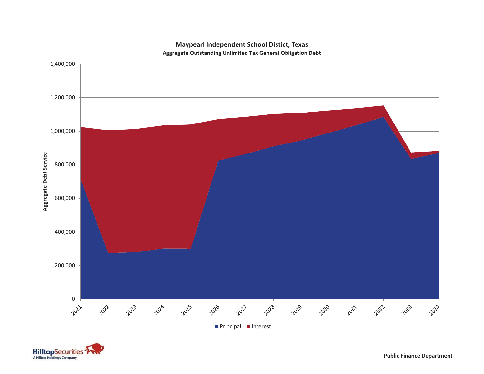

#### **Maypearl Independent School Distict, Texas Aggregate Outstanding Unlimited Tax General Obligation Debt**

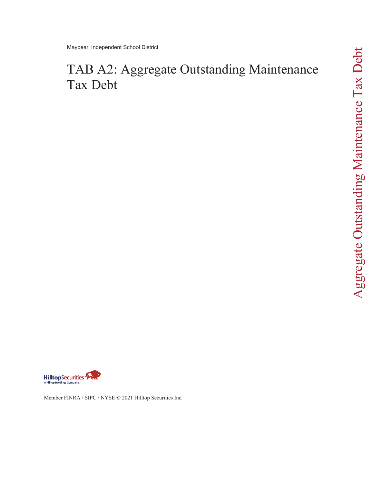# TAB A2: Aggregate Outstanding Maintenance Tax Debt





Member FINRA / SIPC / NYSE © 2021 Hilltop Securities Inc.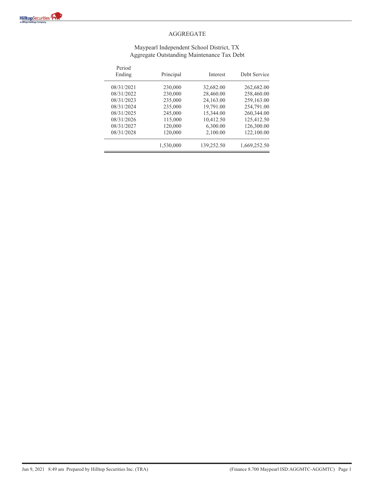

#### Maypearl Independent School District, TX Aggregate Outstanding Maintenance Tax Debt

| Period<br>Ending | Principal | Interest   | Debt Service |
|------------------|-----------|------------|--------------|
| 08/31/2021       | 230,000   | 32,682.00  | 262,682.00   |
| 08/31/2022       | 230,000   | 28,460.00  | 258,460.00   |
| 08/31/2023       | 235,000   | 24,163.00  | 259,163.00   |
| 08/31/2024       | 235,000   | 19,791.00  | 254,791.00   |
| 08/31/2025       | 245,000   | 15,344.00  | 260,344.00   |
| 08/31/2026       | 115,000   | 10,412.50  | 125,412.50   |
| 08/31/2027       | 120,000   | 6,300.00   | 126,300.00   |
| 08/31/2028       | 120,000   | 2,100.00   | 122,100.00   |
|                  | 1,530,000 | 139,252.50 | 1,669,252.50 |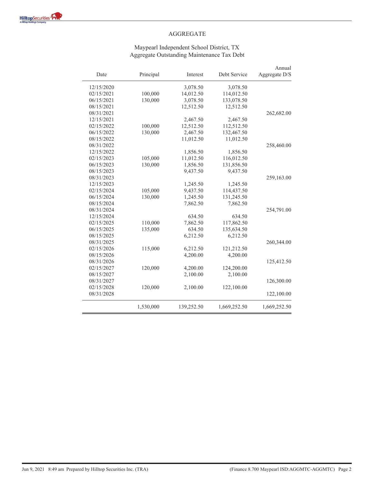#### Maypearl Independent School District, TX Aggregate Outstanding Maintenance Tax Debt

| Date       | Principal | Interest   | Debt Service | Annual<br>Aggregate D/S |
|------------|-----------|------------|--------------|-------------------------|
| 12/15/2020 |           | 3,078.50   | 3,078.50     |                         |
| 02/15/2021 | 100,000   | 14,012.50  | 114,012.50   |                         |
| 06/15/2021 | 130,000   | 3,078.50   | 133,078.50   |                         |
| 08/15/2021 |           | 12,512.50  | 12,512.50    |                         |
| 08/31/2021 |           |            |              | 262,682.00              |
| 12/15/2021 |           | 2,467.50   | 2,467.50     |                         |
| 02/15/2022 | 100,000   | 12,512.50  | 112,512.50   |                         |
| 06/15/2022 | 130,000   | 2,467.50   | 132,467.50   |                         |
| 08/15/2022 |           | 11,012.50  | 11,012.50    |                         |
| 08/31/2022 |           |            |              | 258,460.00              |
| 12/15/2022 |           | 1,856.50   | 1,856.50     |                         |
| 02/15/2023 | 105,000   | 11,012.50  | 116,012.50   |                         |
| 06/15/2023 | 130,000   | 1,856.50   | 131,856.50   |                         |
| 08/15/2023 |           | 9,437.50   | 9,437.50     |                         |
| 08/31/2023 |           |            |              | 259,163.00              |
| 12/15/2023 |           | 1,245.50   | 1,245.50     |                         |
| 02/15/2024 | 105,000   | 9,437.50   | 114,437.50   |                         |
| 06/15/2024 | 130,000   | 1,245.50   | 131,245.50   |                         |
| 08/15/2024 |           | 7,862.50   | 7,862.50     |                         |
| 08/31/2024 |           |            |              | 254,791.00              |
| 12/15/2024 |           | 634.50     | 634.50       |                         |
| 02/15/2025 | 110,000   | 7,862.50   | 117,862.50   |                         |
| 06/15/2025 | 135,000   | 634.50     | 135,634.50   |                         |
| 08/15/2025 |           | 6,212.50   | 6,212.50     |                         |
| 08/31/2025 |           |            |              | 260,344.00              |
| 02/15/2026 | 115,000   | 6,212.50   | 121,212.50   |                         |
| 08/15/2026 |           | 4,200.00   | 4,200.00     |                         |
| 08/31/2026 |           |            |              | 125,412.50              |
| 02/15/2027 | 120,000   | 4,200.00   | 124,200.00   |                         |
| 08/15/2027 |           | 2,100.00   | 2,100.00     |                         |
| 08/31/2027 |           |            |              | 126,300.00              |
| 02/15/2028 | 120,000   | 2,100.00   | 122,100.00   |                         |
| 08/31/2028 |           |            |              | 122,100.00              |
|            | 1,530,000 | 139,252.50 | 1,669,252.50 | 1,669,252.50            |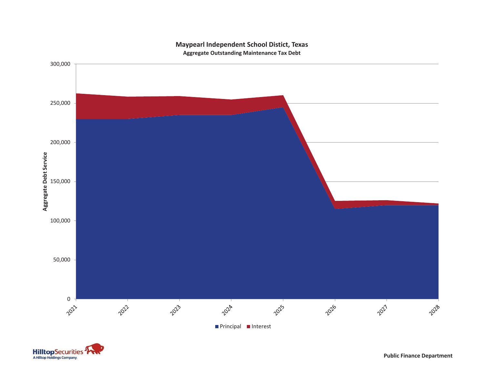

#### **Maypearl Independent School Distict, Texas Aggregate Outstanding Maintenance Tax Debt**



**Public Finance Department**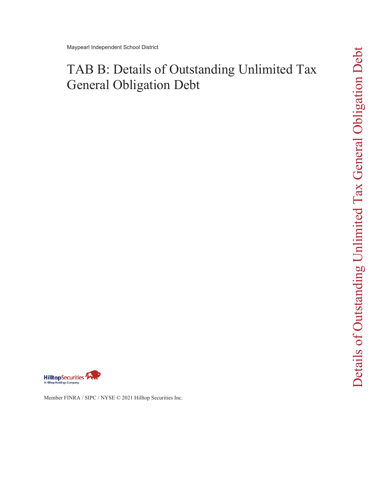# TAB B: Details of Outstanding Unlimited Tax General Obligation Debt



Member FINRA / SIPC / NYSE © 2021 Hilltop Securities Inc.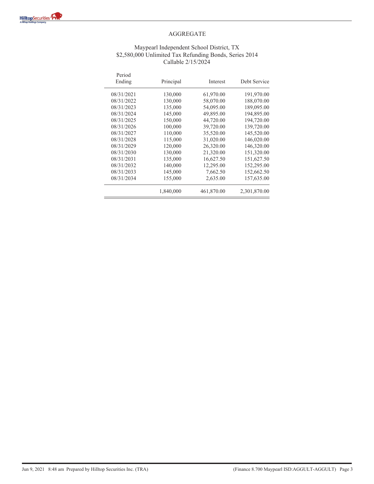#### Maypearl Independent School District, TX \$2,580,000 Unlimited Tax Refunding Bonds, Series 2014 Callable 2/15/2024

| Period<br>Ending | Principal | Interest   | Debt Service |
|------------------|-----------|------------|--------------|
| 08/31/2021       | 130,000   | 61,970.00  | 191,970.00   |
| 08/31/2022       | 130,000   | 58,070.00  | 188,070.00   |
| 08/31/2023       | 135,000   | 54,095.00  | 189,095.00   |
| 08/31/2024       | 145,000   | 49,895.00  | 194,895.00   |
| 08/31/2025       | 150,000   | 44,720.00  | 194,720.00   |
| 08/31/2026       | 100,000   | 39,720.00  | 139,720.00   |
| 08/31/2027       | 110,000   | 35,520.00  | 145,520.00   |
| 08/31/2028       | 115,000   | 31,020.00  | 146,020.00   |
| 08/31/2029       | 120,000   | 26,320.00  | 146,320.00   |
| 08/31/2030       | 130,000   | 21,320.00  | 151,320.00   |
| 08/31/2031       | 135,000   | 16,627.50  | 151,627.50   |
| 08/31/2032       | 140,000   | 12,295.00  | 152,295.00   |
| 08/31/2033       | 145,000   | 7,662.50   | 152,662.50   |
| 08/31/2034       | 155,000   | 2,635.00   | 157,635.00   |
|                  | 1,840,000 | 461,870.00 | 2,301,870.00 |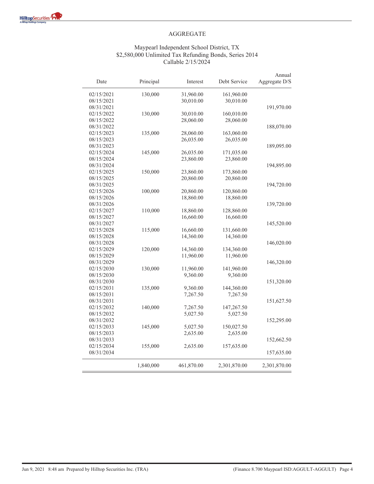#### AGGREGATE

#### Maypearl Independent School District, TX \$2,580,000 Unlimited Tax Refunding Bonds, Series 2014 Callable 2/15/2024

| Date       | Principal | Interest   | Debt Service | Annual<br>Aggregate D/S |
|------------|-----------|------------|--------------|-------------------------|
| 02/15/2021 | 130,000   | 31,960.00  | 161,960.00   |                         |
| 08/15/2021 |           | 30,010.00  | 30,010.00    |                         |
| 08/31/2021 |           |            |              | 191,970.00              |
| 02/15/2022 | 130,000   | 30,010.00  | 160,010.00   |                         |
| 08/15/2022 |           | 28,060.00  | 28,060.00    |                         |
| 08/31/2022 |           |            |              | 188,070.00              |
| 02/15/2023 | 135,000   | 28,060.00  | 163,060.00   |                         |
| 08/15/2023 |           | 26,035.00  | 26,035.00    |                         |
| 08/31/2023 |           |            |              | 189,095.00              |
| 02/15/2024 | 145,000   | 26,035.00  | 171,035.00   |                         |
| 08/15/2024 |           | 23,860.00  | 23,860.00    |                         |
| 08/31/2024 |           |            |              | 194,895.00              |
| 02/15/2025 | 150,000   | 23,860.00  | 173,860.00   |                         |
| 08/15/2025 |           | 20,860.00  | 20,860.00    |                         |
| 08/31/2025 |           |            |              | 194,720.00              |
| 02/15/2026 | 100,000   | 20,860.00  | 120,860.00   |                         |
| 08/15/2026 |           | 18,860.00  | 18,860.00    |                         |
| 08/31/2026 |           |            |              | 139,720.00              |
| 02/15/2027 | 110,000   | 18,860.00  | 128,860.00   |                         |
| 08/15/2027 |           | 16,660.00  | 16,660.00    |                         |
| 08/31/2027 |           |            |              | 145,520.00              |
| 02/15/2028 | 115,000   | 16,660.00  | 131,660.00   |                         |
| 08/15/2028 |           | 14,360.00  | 14,360.00    |                         |
| 08/31/2028 |           |            |              | 146,020.00              |
| 02/15/2029 | 120,000   | 14,360.00  | 134,360.00   |                         |
| 08/15/2029 |           | 11,960.00  | 11,960.00    |                         |
| 08/31/2029 |           |            |              | 146,320.00              |
| 02/15/2030 | 130,000   | 11,960.00  | 141,960.00   |                         |
| 08/15/2030 |           | 9,360.00   | 9,360.00     |                         |
| 08/31/2030 |           |            |              | 151,320.00              |
| 02/15/2031 | 135,000   | 9,360.00   | 144,360.00   |                         |
| 08/15/2031 |           | 7,267.50   | 7,267.50     |                         |
| 08/31/2031 |           |            |              | 151,627.50              |
| 02/15/2032 | 140,000   | 7,267.50   | 147,267.50   |                         |
| 08/15/2032 |           | 5,027.50   | 5,027.50     |                         |
| 08/31/2032 |           |            |              | 152,295.00              |
| 02/15/2033 | 145,000   | 5,027.50   | 150,027.50   |                         |
| 08/15/2033 |           | 2,635.00   | 2,635.00     |                         |
| 08/31/2033 |           |            |              | 152,662.50              |
| 02/15/2034 | 155,000   | 2,635.00   | 157,635.00   |                         |
| 08/31/2034 |           |            |              | 157,635.00              |
|            | 1,840,000 | 461,870.00 | 2,301,870.00 | 2,301,870.00            |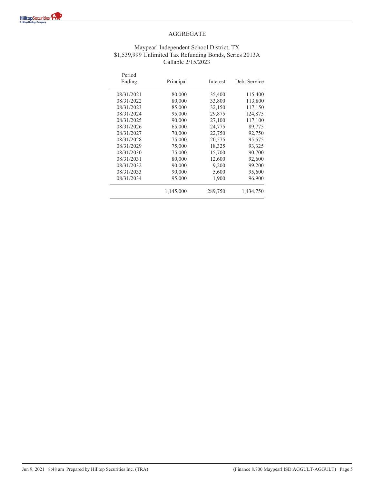#### Maypearl Independent School District, TX \$1,539,999 Unlimited Tax Refunding Bonds, Series 2013A Callable 2/15/2023

| Period<br>Ending | Principal | Interest | Debt Service |
|------------------|-----------|----------|--------------|
| 08/31/2021       | 80,000    | 35,400   | 115,400      |
| 08/31/2022       | 80,000    | 33,800   | 113,800      |
| 08/31/2023       | 85,000    | 32,150   | 117,150      |
| 08/31/2024       | 95,000    | 29,875   | 124.875      |
| 08/31/2025       | 90,000    | 27,100   | 117,100      |
| 08/31/2026       | 65,000    | 24,775   | 89,775       |
| 08/31/2027       | 70,000    | 22,750   | 92,750       |
| 08/31/2028       | 75,000    | 20,575   | 95,575       |
| 08/31/2029       | 75,000    | 18,325   | 93,325       |
| 08/31/2030       | 75,000    | 15,700   | 90,700       |
| 08/31/2031       | 80,000    | 12,600   | 92,600       |
| 08/31/2032       | 90,000    | 9,200    | 99,200       |
| 08/31/2033       | 90,000    | 5,600    | 95,600       |
| 08/31/2034       | 95,000    | 1,900    | 96,900       |
|                  | 1,145,000 | 289,750  | 1,434,750    |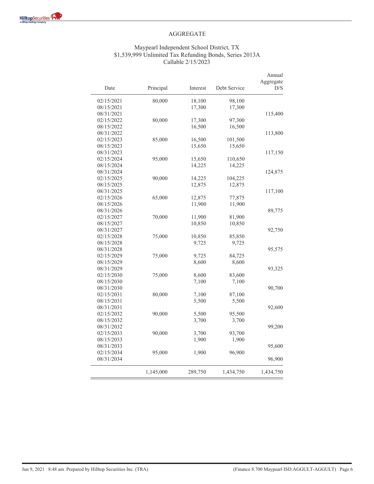#### Maypearl Independent School District, TX \$1,539,999 Unlimited Tax Refunding Bonds, Series 2013A Callable 2/15/2023

|                          |           |          |              | Annual           |
|--------------------------|-----------|----------|--------------|------------------|
| Date                     | Principal | Interest | Debt Service | Aggregate<br>D/S |
| 02/15/2021               | 80,000    | 18,100   | 98,100       |                  |
| 08/15/2021               |           | 17,300   | 17,300       |                  |
| 08/31/2021               |           |          |              | 115,400          |
| 02/15/2022               | 80,000    | 17,300   | 97,300       |                  |
| 08/15/2022               |           | 16,500   | 16,500       |                  |
| 08/31/2022               |           |          |              | 113,800          |
| 02/15/2023               | 85,000    | 16,500   | 101,500      |                  |
| 08/15/2023               |           | 15,650   | 15,650       |                  |
| 08/31/2023               |           |          |              | 117,150          |
| 02/15/2024               | 95,000    | 15,650   | 110,650      |                  |
| 08/15/2024               |           | 14,225   | 14,225       |                  |
| 08/31/2024               |           |          |              | 124,875          |
| 02/15/2025               | 90,000    | 14,225   | 104,225      |                  |
| 08/15/2025               |           | 12,875   | 12,875       |                  |
| 08/31/2025               |           |          |              | 117,100          |
| 02/15/2026               | 65,000    | 12,875   | 77,875       |                  |
| 08/15/2026               |           | 11,900   | 11,900       |                  |
| 08/31/2026               |           |          |              | 89,775           |
| 02/15/2027               | 70,000    | 11,900   | 81,900       |                  |
| 08/15/2027               |           | 10,850   | 10,850       |                  |
| 08/31/2027               |           |          |              | 92,750           |
| 02/15/2028               | 75,000    | 10,850   | 85,850       |                  |
| 08/15/2028               |           | 9,725    | 9,725        |                  |
| 08/31/2028               |           |          |              | 95,575           |
| 02/15/2029               | 75,000    | 9,725    | 84,725       |                  |
| 08/15/2029               |           | 8,600    | 8,600        |                  |
| 08/31/2029               |           |          |              | 93,325           |
|                          |           |          |              |                  |
| 02/15/2030<br>08/15/2030 | 75,000    | 8,600    | 83,600       |                  |
|                          |           | 7,100    | 7,100        |                  |
| 08/31/2030               |           |          |              | 90,700           |
| 02/15/2031               | 80,000    | 7,100    | 87,100       |                  |
| 08/15/2031               |           | 5,500    | 5,500        |                  |
| 08/31/2031               |           |          |              | 92,600           |
| 02/15/2032               | 90,000    | 5,500    | 95,500       |                  |
| 08/15/2032               |           | 3,700    | 3,700        |                  |
| 08/31/2032               |           |          |              | 99,200           |
| 02/15/2033               | 90,000    | 3,700    | 93,700       |                  |
| 08/15/2033               |           | 1,900    | 1,900        |                  |
| 08/31/2033               |           |          |              | 95,600           |
| 02/15/2034               | 95,000    | 1,900    | 96,900       |                  |
| 08/31/2034               |           |          |              | 96,900           |
|                          | 1,145,000 | 289,750  | 1,434,750    | 1,434,750        |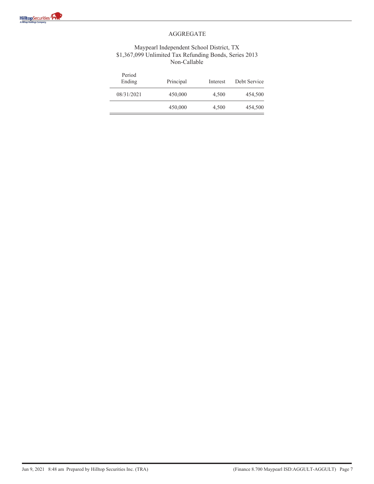#### Maypearl Independent School District, TX \$1,367,099 Unlimited Tax Refunding Bonds, Series 2013 Non-Callable

| Period<br>Ending | Principal | Interest | Debt Service |
|------------------|-----------|----------|--------------|
| 08/31/2021       | 450,000   | 4.500    | 454,500      |
|                  | 450,000   | 4,500    | 454,500      |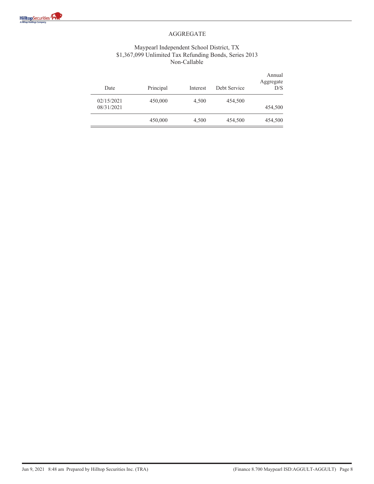#### Maypearl Independent School District, TX \$1,367,099 Unlimited Tax Refunding Bonds, Series 2013 Non-Callable

| Annual<br>Aggregate<br>D/S | Debt Service | Interest | Principal | Date                     |
|----------------------------|--------------|----------|-----------|--------------------------|
| 454,500                    | 454,500      | 4,500    | 450,000   | 02/15/2021<br>08/31/2021 |
| 454,500                    | 454,500      | 4,500    | 450,000   |                          |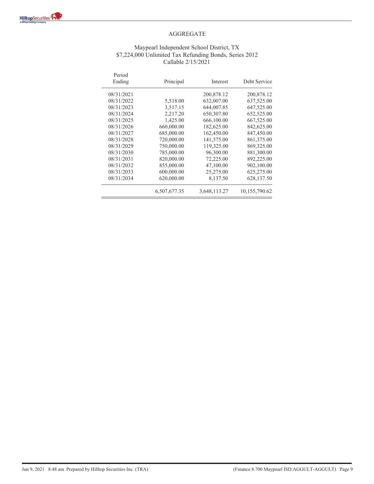#### Maypearl Independent School District, TX \$7,224,000 Unlimited Tax Refunding Bonds, Series 2012 Callable 2/15/2021

| Period<br>Ending | Principal    | Interest     | Debt Service  |
|------------------|--------------|--------------|---------------|
| 08/31/2021       |              | 200,878.12   | 200,878.12    |
| 08/31/2022       | 5,518.00     | 632,007.00   | 637,525.00    |
| 08/31/2023       | 3,517.15     | 644,007.85   | 647,525.00    |
| 08/31/2024       | 2,217.20     | 650,307.80   | 652,525.00    |
| 08/31/2025       | 1,425.00     | 666,100.00   | 667,525.00    |
| 08/31/2026       | 660,000.00   | 182,625.00   | 842,625.00    |
| 08/31/2027       | 685,000.00   | 162,450.00   | 847,450.00    |
| 08/31/2028       | 720,000.00   | 141,375.00   | 861,375.00    |
| 08/31/2029       | 750,000.00   | 119,325.00   | 869,325.00    |
| 08/31/2030       | 785,000.00   | 96,300.00    | 881,300.00    |
| 08/31/2031       | 820,000.00   | 72,225.00    | 892,225.00    |
| 08/31/2032       | 855,000.00   | 47,100.00    | 902,100.00    |
| 08/31/2033       | 600,000.00   | 25,275.00    | 625,275.00    |
| 08/31/2034       | 620,000.00   | 8,137.50     | 628,137.50    |
|                  | 6,507,677.35 | 3,648,113.27 | 10,155,790.62 |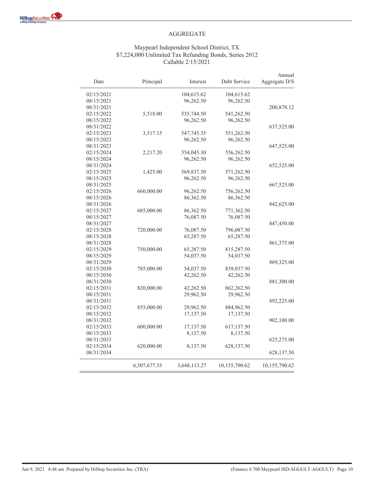$\overline{\phantom{0}}$ 

#### AGGREGATE

#### Maypearl Independent School District, TX \$7,224,000 Unlimited Tax Refunding Bonds, Series 2012 Callable 2/15/2021

| Date       | Principal    | Interest     | Debt Service  | Annual<br>Aggregate D/S |
|------------|--------------|--------------|---------------|-------------------------|
| 02/15/2021 |              | 104,615.62   | 104,615.62    |                         |
| 08/15/2021 |              | 96,262.50    | 96,262.50     |                         |
| 08/31/2021 |              |              |               | 200,878.12              |
| 02/15/2022 | 5,518.00     | 535,744.50   | 541,262.50    |                         |
| 08/15/2022 |              | 96,262.50    | 96,262.50     |                         |
| 08/31/2022 |              |              |               | 637,525.00              |
| 02/15/2023 | 3,517.15     | 547,745.35   | 551,262.50    |                         |
| 08/15/2023 |              | 96,262.50    | 96,262.50     |                         |
| 08/31/2023 |              |              |               | 647,525.00              |
| 02/15/2024 | 2,217.20     | 554,045.30   | 556,262.50    |                         |
| 08/15/2024 |              | 96,262.50    | 96,262.50     |                         |
| 08/31/2024 |              |              |               | 652,525.00              |
| 02/15/2025 | 1,425.00     | 569,837.50   | 571,262.50    |                         |
| 08/15/2025 |              | 96,262.50    | 96,262.50     |                         |
| 08/31/2025 |              |              |               | 667,525.00              |
| 02/15/2026 | 660,000.00   | 96,262.50    | 756,262.50    |                         |
| 08/15/2026 |              | 86,362.50    | 86,362.50     |                         |
| 08/31/2026 |              |              |               | 842,625.00              |
| 02/15/2027 | 685,000.00   | 86,362.50    | 771,362.50    |                         |
| 08/15/2027 |              | 76,087.50    | 76,087.50     |                         |
| 08/31/2027 |              |              |               | 847,450.00              |
| 02/15/2028 | 720,000.00   | 76,087.50    | 796,087.50    |                         |
| 08/15/2028 |              | 65,287.50    | 65,287.50     |                         |
| 08/31/2028 |              |              |               | 861,375.00              |
| 02/15/2029 | 750,000.00   | 65,287.50    | 815,287.50    |                         |
| 08/15/2029 |              | 54,037.50    | 54,037.50     |                         |
| 08/31/2029 |              |              |               | 869,325.00              |
| 02/15/2030 | 785,000.00   | 54,037.50    | 839,037.50    |                         |
| 08/15/2030 |              | 42,262.50    | 42,262.50     |                         |
| 08/31/2030 |              |              |               | 881,300.00              |
| 02/15/2031 | 820,000.00   | 42,262.50    | 862,262.50    |                         |
| 08/15/2031 |              | 29,962.50    | 29,962.50     |                         |
| 08/31/2031 |              |              |               | 892,225.00              |
| 02/15/2032 | 855,000.00   | 29,962.50    | 884,962.50    |                         |
| 08/15/2032 |              | 17,137.50    | 17,137.50     |                         |
| 08/31/2032 |              |              |               | 902,100.00              |
| 02/15/2033 | 600,000.00   | 17,137.50    | 617,137.50    |                         |
| 08/15/2033 |              | 8,137.50     | 8,137.50      |                         |
| 08/31/2033 |              |              |               | 625,275.00              |
| 02/15/2034 | 620,000.00   | 8,137.50     | 628,137.50    |                         |
| 08/31/2034 |              |              |               | 628,137.50              |
|            | 6,507,677.35 | 3,648,113.27 | 10,155,790.62 | 10,155,790.62           |

 $=$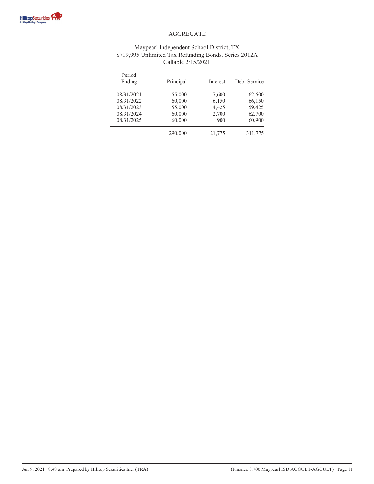#### Maypearl Independent School District, TX \$719,995 Unlimited Tax Refunding Bonds, Series 2012A Callable 2/15/2021

| Period<br>Ending | Principal | Interest | Debt Service |
|------------------|-----------|----------|--------------|
| 08/31/2021       | 55,000    | 7,600    | 62,600       |
| 08/31/2022       | 60,000    | 6,150    | 66,150       |
| 08/31/2023       | 55,000    | 4,425    | 59,425       |
| 08/31/2024       | 60,000    | 2,700    | 62,700       |
| 08/31/2025       | 60,000    | 900      | 60,900       |
|                  | 290,000   | 21,775   | 311,775      |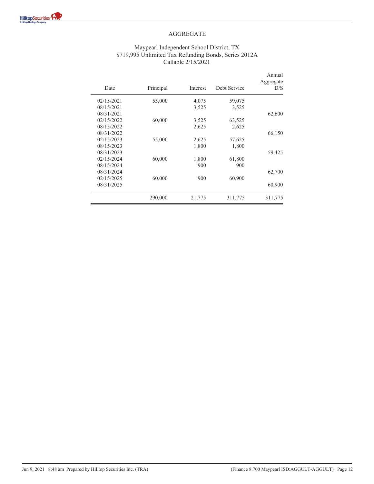#### Maypearl Independent School District, TX \$719,995 Unlimited Tax Refunding Bonds, Series 2012A Callable 2/15/2021

| Date       | Principal | Interest | Debt Service | Annual<br>Aggregate<br>D/S |
|------------|-----------|----------|--------------|----------------------------|
| 02/15/2021 | 55,000    | 4,075    | 59,075       |                            |
| 08/15/2021 |           | 3,525    | 3,525        |                            |
| 08/31/2021 |           |          |              | 62,600                     |
| 02/15/2022 | 60,000    | 3,525    | 63,525       |                            |
| 08/15/2022 |           | 2,625    | 2,625        |                            |
| 08/31/2022 |           |          |              | 66,150                     |
| 02/15/2023 | 55,000    | 2,625    | 57,625       |                            |
| 08/15/2023 |           | 1,800    | 1,800        |                            |
| 08/31/2023 |           |          |              | 59,425                     |
| 02/15/2024 | 60,000    | 1,800    | 61,800       |                            |
| 08/15/2024 |           | 900      | 900          |                            |
| 08/31/2024 |           |          |              | 62,700                     |
| 02/15/2025 | 60,000    | 900      | 60,900       |                            |
| 08/31/2025 |           |          |              | 60,900                     |
|            | 290,000   | 21,775   | 311,775      | 311,775                    |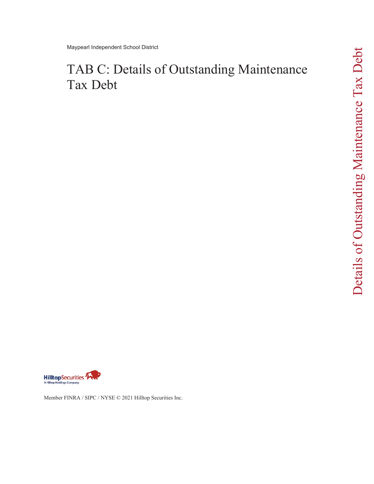# TAB C: Details of Outstanding Maintenance Tax Debt



Member FINRA / SIPC / NYSE © 2021 Hilltop Securities Inc.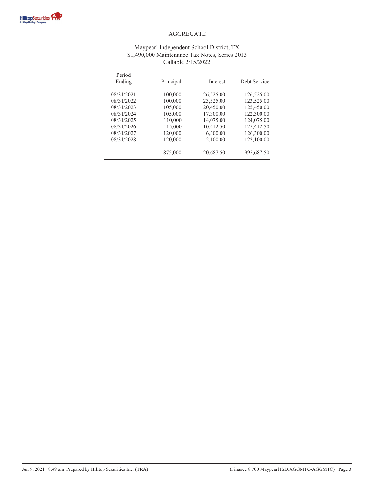#### Maypearl Independent School District, TX \$1,490,000 Maintenance Tax Notes, Series 2013 Callable 2/15/2022

| Period<br>Ending | Principal | Interest   | Debt Service |
|------------------|-----------|------------|--------------|
| 08/31/2021       | 100,000   | 26,525.00  | 126,525.00   |
| 08/31/2022       | 100,000   | 23,525.00  | 123,525.00   |
| 08/31/2023       | 105,000   | 20,450.00  | 125,450.00   |
| 08/31/2024       | 105,000   | 17,300.00  | 122,300.00   |
| 08/31/2025       | 110,000   | 14,075.00  | 124,075.00   |
| 08/31/2026       | 115,000   | 10,412.50  | 125,412.50   |
| 08/31/2027       | 120,000   | 6,300.00   | 126,300.00   |
| 08/31/2028       | 120,000   | 2,100.00   | 122,100.00   |
|                  | 875,000   | 120,687.50 | 995,687.50   |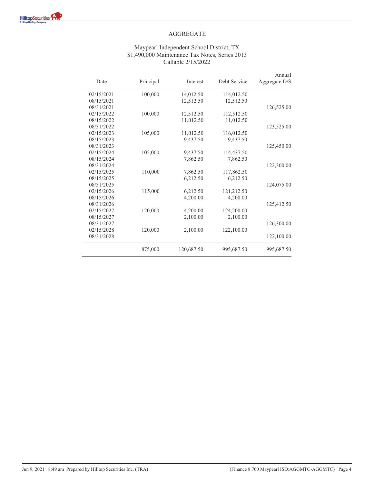#### Maypearl Independent School District, TX \$1,490,000 Maintenance Tax Notes, Series 2013 Callable 2/15/2022

| Date       | Principal | Interest   | Debt Service | Annual<br>Aggregate D/S |
|------------|-----------|------------|--------------|-------------------------|
| 02/15/2021 | 100,000   | 14,012.50  | 114,012.50   |                         |
| 08/15/2021 |           | 12,512.50  | 12,512.50    |                         |
| 08/31/2021 |           |            |              | 126,525.00              |
| 02/15/2022 | 100,000   | 12,512.50  | 112,512.50   |                         |
| 08/15/2022 |           | 11,012.50  | 11,012.50    |                         |
| 08/31/2022 |           |            |              | 123,525.00              |
| 02/15/2023 | 105,000   | 11,012.50  | 116,012.50   |                         |
| 08/15/2023 |           | 9,437.50   | 9,437.50     |                         |
| 08/31/2023 |           |            |              | 125,450.00              |
| 02/15/2024 | 105,000   | 9,437.50   | 114,437.50   |                         |
| 08/15/2024 |           | 7,862.50   | 7,862.50     |                         |
| 08/31/2024 |           |            |              | 122,300.00              |
| 02/15/2025 | 110,000   | 7,862.50   | 117,862.50   |                         |
| 08/15/2025 |           | 6,212.50   | 6,212.50     |                         |
| 08/31/2025 |           |            |              | 124,075.00              |
| 02/15/2026 | 115,000   | 6,212.50   | 121,212.50   |                         |
| 08/15/2026 |           | 4,200.00   | 4,200.00     |                         |
| 08/31/2026 |           |            |              | 125,412.50              |
| 02/15/2027 | 120,000   | 4,200.00   | 124,200.00   |                         |
| 08/15/2027 |           | 2,100.00   | 2,100.00     |                         |
| 08/31/2027 |           |            |              | 126,300.00              |
| 02/15/2028 | 120,000   | 2,100.00   | 122,100.00   |                         |
| 08/31/2028 |           |            |              | 122,100.00              |
|            | 875,000   | 120,687.50 | 995,687.50   | 995,687.50              |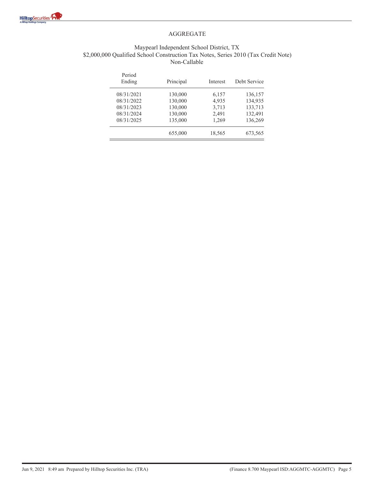

#### Maypearl Independent School District, TX \$2,000,000 Qualified School Construction Tax Notes, Series 2010 (Tax Credit Note) Non-Callable

| Period<br>Ending | Principal | Interest | Debt Service |
|------------------|-----------|----------|--------------|
| 08/31/2021       | 130,000   | 6,157    | 136,157      |
| 08/31/2022       | 130,000   | 4,935    | 134,935      |
| 08/31/2023       | 130,000   | 3,713    | 133,713      |
| 08/31/2024       | 130,000   | 2,491    | 132,491      |
| 08/31/2025       | 135,000   | 1,269    | 136,269      |
|                  | 655,000   | 18,565   | 673,565      |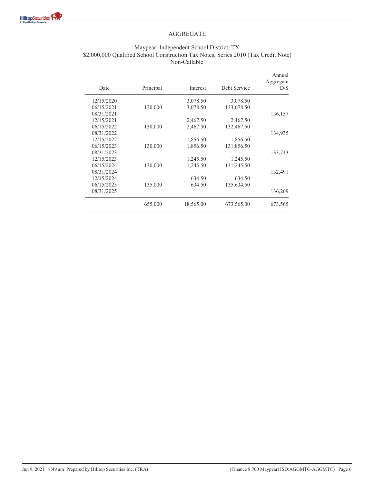

#### Maypearl Independent School District, TX \$2,000,000 Qualified School Construction Tax Notes, Series 2010 (Tax Credit Note) Non-Callable

| Annual<br>Aggregate<br>D/S | Debt Service | Interest  | Principal | Date       |
|----------------------------|--------------|-----------|-----------|------------|
|                            | 3,078.50     | 3,078.50  |           | 12/15/2020 |
|                            | 133,078.50   | 3,078.50  | 130,000   | 06/15/2021 |
| 136,157                    |              |           |           | 08/31/2021 |
|                            | 2,467.50     | 2,467.50  |           | 12/15/2021 |
|                            | 132,467.50   | 2,467.50  | 130,000   | 06/15/2022 |
| 134,935                    |              |           |           | 08/31/2022 |
|                            | 1,856.50     | 1,856.50  |           | 12/15/2022 |
|                            | 131,856.50   | 1,856.50  | 130,000   | 06/15/2023 |
| 133,713                    |              |           |           | 08/31/2023 |
|                            | 1,245.50     | 1,245.50  |           | 12/15/2023 |
|                            | 131,245.50   | 1,245.50  | 130,000   | 06/15/2024 |
| 132,491                    |              |           |           | 08/31/2024 |
|                            | 634.50       | 634.50    |           | 12/15/2024 |
|                            | 135,634.50   | 634.50    | 135,000   | 06/15/2025 |
| 136,269                    |              |           |           | 08/31/2025 |
| 673,565                    | 673,565.00   | 18,565.00 | 655,000   |            |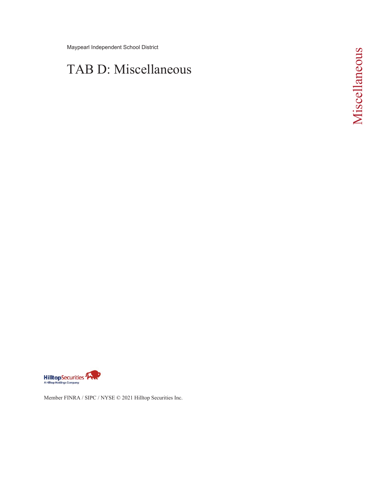Maypearl Independent School District

# TAB D: Miscellaneous



Member FINRA / SIPC / NYSE © 2021 Hilltop Securities Inc.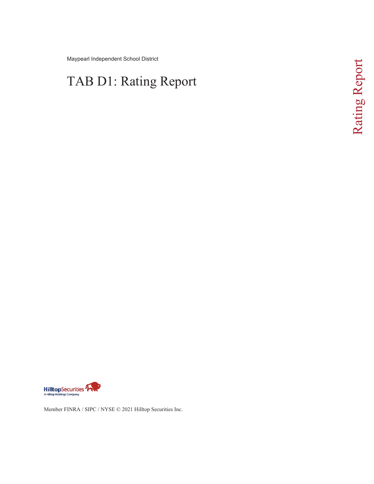Maypearl Independent School District

# TAB D1: Rating Report



Member FINRA / SIPC / NYSE © 2021 Hilltop Securities Inc.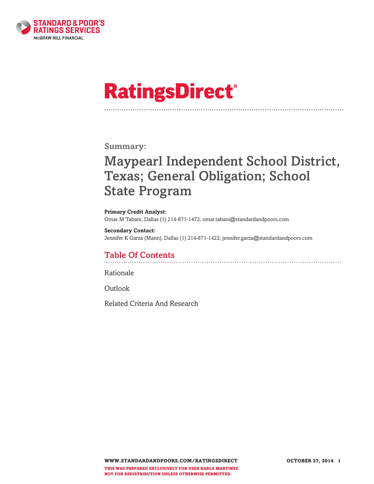

# **RatingsDirect®**

### **Summary:**

# **Maypearl Independent School District, Texas; General Obligation; School State Program**

**Primary Credit Analyst:** Omar M Tabani, Dallas (1) 214-871-1472; omar.tabani@standardandpoors.com

**Secondary Contact:** Jennifer K Garza (Mann), Dallas (1) 214-871-1422; jennifer.garza@standardandpoors.com

### **Table Of Contents**

Rationale

Outlook

Related Criteria And Research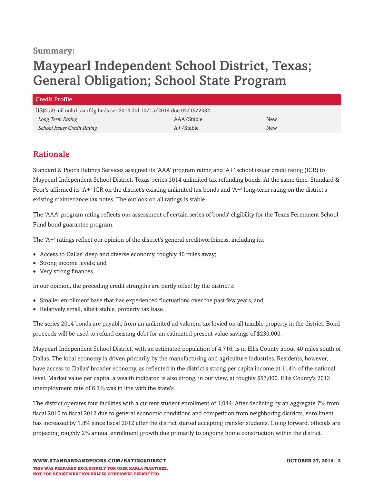### **Summary:**

# **Maypearl Independent School District, Texas; General Obligation; School State Program**

| <b>Credit Profile</b>                                                   |              |            |
|-------------------------------------------------------------------------|--------------|------------|
| US\$2.59 mil unltd tax rfdg bnds ser 2014 dtd 10/15/2014 due 02/15/2034 |              |            |
| Long Term Rating                                                        | AAA/Stable   | <b>New</b> |
| School Issuer Credit Rating                                             | $A+$ /Stable | <b>New</b> |

### **Rationale**

Standard & Poor's Ratings Services assigned its 'AAA' program rating and 'A+' school issuer credit rating (ICR) to Maypearl Independent School District, Texas' series 2014 unlimited tax refunding bonds. At the same time, Standard & Poor's affirmed its 'A+' ICR on the district's existing unlimited tax bonds and 'A+' long-term rating on the district's existing maintenance tax notes. The outlook on all ratings is stable.

The 'AAA' program rating reflects our assessment of certain series of bonds' eligibility for the Texas Permanent School Fund bond guarantee program.

The 'A+' ratings reflect our opinion of the district's general creditworthiness, including its:

- Access to Dallas' deep and diverse economy, roughly 40 miles away;
- Strong income levels; and
- Very strong finances.

In our opinion, the preceding credit strengths are partly offset by the district's:

- Smaller enrollment base that has experienced fluctuations over the past few years, and
- Relatively small, albeit stable, property tax base.

The series 2014 bonds are payable from an unlimited ad valorem tax levied on all taxable property in the district. Bond proceeds will be used to refund existing debt for an estimated present value savings of \$230,000.

Maypearl Independent School District, with an estimated population of 4,716, is in Ellis County about 40 miles south of Dallas. The local economy is driven primarily by the manufacturing and agriculture industries. Residents, however, have access to Dallas' broader economy, as reflected in the district's strong per capita income at 114% of the national level. Market value per capita, a wealth indicator, is also strong, in our view, at roughly \$57,000. Ellis County's 2013 unemployment rate of 6.3% was in line with the state's.

The district operates four facilities with a current student enrollment of 1,044. After declining by an aggregate 7% from fiscal 2010 to fiscal 2012 due to general economic conditions and competition from neighboring districts, enrollment has increased by 1.8% since fiscal 2012 after the district started accepting transfer students. Going forward, officials are projecting roughly 2% annual enrollment growth due primarily to ongoing home construction within the district.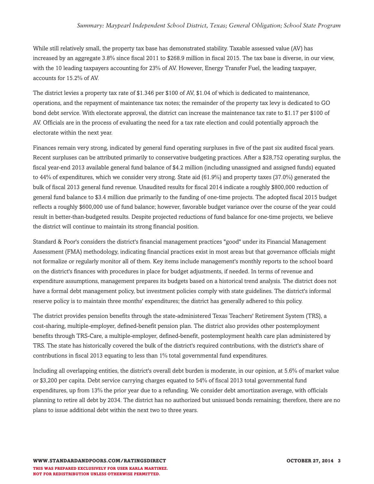#### *Summary: Maypearl Independent School District, Texas; General Obligation; School State Program*

While still relatively small, the property tax base has demonstrated stability. Taxable assessed value (AV) has increased by an aggregate 3.8% since fiscal 2011 to \$268.9 million in fiscal 2015. The tax base is diverse, in our view, with the 10 leading taxpayers accounting for 23% of AV. However, Energy Transfer Fuel, the leading taxpayer, accounts for 15.2% of AV.

The district levies a property tax rate of \$1.346 per \$100 of AV, \$1.04 of which is dedicated to maintenance, operations, and the repayment of maintenance tax notes; the remainder of the property tax levy is dedicated to GO bond debt service. With electorate approval, the district can increase the maintenance tax rate to \$1.17 per \$100 of AV. Officials are in the process of evaluating the need for a tax rate election and could potentially approach the electorate within the next year.

Finances remain very strong, indicated by general fund operating surpluses in five of the past six audited fiscal years. Recent surpluses can be attributed primarily to conservative budgeting practices. After a \$28,752 operating surplus, the fiscal year-end 2013 available general fund balance of \$4.2 million (including unassigned and assigned funds) equated to 44% of expenditures, which we consider very strong. State aid (61.9%) and property taxes (37.0%) generated the bulk of fiscal 2013 general fund revenue. Unaudited results for fiscal 2014 indicate a roughly \$800,000 reduction of general fund balance to \$3.4 million due primarily to the funding of one-time projects. The adopted fiscal 2015 budget reflects a roughly \$600,000 use of fund balance; however, favorable budget variance over the course of the year could result in better-than-budgeted results. Despite projected reductions of fund balance for one-time projects, we believe the district will continue to maintain its strong financial position.

Standard & Poor's considers the district's financial management practices "good" under its Financial Management Assessment (FMA) methodology, indicating financial practices exist in most areas but that governance officials might not formalize or regularly monitor all of them. Key items include management's monthly reports to the school board on the district's finances with procedures in place for budget adjustments, if needed. In terms of revenue and expenditure assumptions, management prepares its budgets based on a historical trend analysis. The district does not have a formal debt management policy, but investment policies comply with state guidelines. The district's informal reserve policy is to maintain three months' expenditures; the district has generally adhered to this policy.

The district provides pension benefits through the state-administered Texas Teachers' Retirement System (TRS), a cost-sharing, multiple-employer, defined-benefit pension plan. The district also provides other postemployment benefits through TRS-Care, a multiple-employer, defined-benefit, postemployment health care plan administered by TRS. The state has historically covered the bulk of the district's required contributions, with the district's share of contributions in fiscal 2013 equating to less than 1% total governmental fund expenditures.

Including all overlapping entities, the district's overall debt burden is moderate, in our opinion, at 5.6% of market value or \$3,200 per capita. Debt service carrying charges equated to 54% of fiscal 2013 total governmental fund expenditures, up from 13% the prior year due to a refunding. We consider debt amortization average, with officials planning to retire all debt by 2034. The district has no authorized but unissued bonds remaining; therefore, there are no plans to issue additional debt within the next two to three years.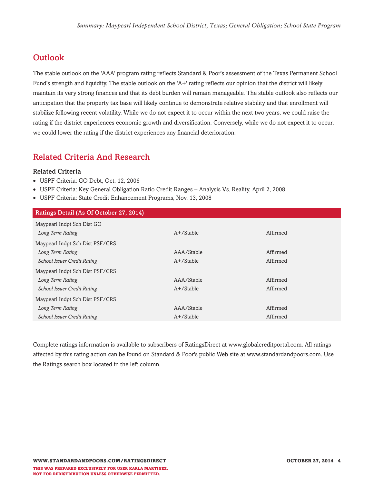## **Outlook**

The stable outlook on the 'AAA' program rating reflects Standard & Poor's assessment of the Texas Permanent School Fund's strength and liquidity. The stable outlook on the 'A+' rating reflects our opinion that the district will likely maintain its very strong finances and that its debt burden will remain manageable. The stable outlook also reflects our anticipation that the property tax base will likely continue to demonstrate relative stability and that enrollment will stabilize following recent volatility. While we do not expect it to occur within the next two years, we could raise the rating if the district experiences economic growth and diversification. Conversely, while we do not expect it to occur, we could lower the rating if the district experiences any financial deterioration.

### **Related Criteria And Research**

#### **Related Criteria**

- USPF Criteria: GO Debt, Oct. 12, 2006
- USPF Criteria: Key General Obligation Ratio Credit Ranges Analysis Vs. Reality, April 2, 2008
- USPF Criteria: State Credit Enhancement Programs, Nov. 13, 2008

| Ratings Detail (As Of October 27, 2014) |              |          |
|-----------------------------------------|--------------|----------|
| Maypearl Indpt Sch Dist GO              |              |          |
| Long Term Rating                        | $A+$ /Stable | Affirmed |
| Maypearl Indpt Sch Dist PSF/CRS         |              |          |
| Long Term Rating                        | AAA/Stable   | Affirmed |
| <b>School Issuer Credit Rating</b>      | $A+$ /Stable | Affirmed |
| Maypearl Indpt Sch Dist PSF/CRS         |              |          |
| Long Term Rating                        | AAA/Stable   | Affirmed |
| <b>School Issuer Credit Rating</b>      | $A+$ /Stable | Affirmed |
| Maypearl Indpt Sch Dist PSF/CRS         |              |          |
| Long Term Rating                        | AAA/Stable   | Affirmed |
| <b>School Issuer Credit Rating</b>      | A+/Stable    | Affirmed |
|                                         |              |          |

Complete ratings information is available to subscribers of RatingsDirect at www.globalcreditportal.com. All ratings affected by this rating action can be found on Standard & Poor's public Web site at www.standardandpoors.com. Use the Ratings search box located in the left column.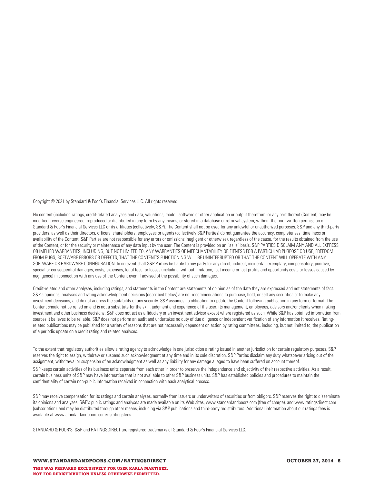Copyright © 2021 by Standard & Poor's Financial Services LLC. All rights reserved.

No content (including ratings, credit-related analyses and data, valuations, model, software or other application or output therefrom) or any part thereof (Content) may be modified, reverse engineered, reproduced or distributed in any form by any means, or stored in a database or retrieval system, without the prior written permission of Standard & Poor's Financial Services LLC or its affiliates (collectively, S&P). The Content shall not be used for any unlawful or unauthorized purposes. S&P and any third-party providers, as well as their directors, officers, shareholders, employees or agents (collectively S&P Parties) do not guarantee the accuracy, completeness, timeliness or availability of the Content. S&P Parties are not responsible for any errors or omissions (negligent or otherwise), regardless of the cause, for the results obtained from the use of the Content, or for the security or maintenance of any data input by the user. The Content is provided on an "as is" basis. S&P PARTIES DISCLAIM ANY AND ALL EXPRESS OR IMPLIED WARRANTIES, INCLUDING, BUT NOT LIMITED TO, ANY WARRANTIES OF MERCHANTABILITY OR FITNESS FOR A PARTICULAR PURPOSE OR USE, FREEDOM FROM BUGS, SOFTWARE ERRORS OR DEFECTS, THAT THE CONTENT'S FUNCTIONING WILL BE UNINTERRUPTED OR THAT THE CONTENT WILL OPERATE WITH ANY SOFTWARE OR HARDWARE CONFIGURATION. In no event shall S&P Parties be liable to any party for any direct, indirect, incidental, exemplary, compensatory, punitive, special or consequential damages, costs, expenses, legal fees, or losses (including, without limitation, lost income or lost profits and opportunity costs or losses caused by negligence) in connection with any use of the Content even if advised of the possibility of such damages.

Credit-related and other analyses, including ratings, and statements in the Content are statements of opinion as of the date they are expressed and not statements of fact. S&P's opinions, analyses and rating acknowledgment decisions (described below) are not recommendations to purchase, hold, or sell any securities or to make any investment decisions, and do not address the suitability of any security. S&P assumes no obligation to update the Content following publication in any form or format. The Content should not be relied on and is not a substitute for the skill, judgment and experience of the user, its management, employees, advisors and/or clients when making investment and other business decisions. S&P does not act as a fiduciary or an investment advisor except where registered as such. While S&P has obtained information from sources it believes to be reliable, S&P does not perform an audit and undertakes no duty of due diligence or independent verification of any information it receives. Ratingrelated publications may be published for a variety of reasons that are not necessarily dependent on action by rating committees, including, but not limited to, the publication of a periodic update on a credit rating and related analyses.

To the extent that regulatory authorities allow a rating agency to acknowledge in one jurisdiction a rating issued in another jurisdiction for certain regulatory purposes, S&P reserves the right to assign, withdraw or suspend such acknowledgment at any time and in its sole discretion. S&P Parties disclaim any duty whatsoever arising out of the assignment, withdrawal or suspension of an acknowledgment as well as any liability for any damage alleged to have been suffered on account thereof.

S&P keeps certain activities of its business units separate from each other in order to preserve the independence and objectivity of their respective activities. As a result, certain business units of S&P may have information that is not available to other S&P business units. S&P has established policies and procedures to maintain the confidentiality of certain non-public information received in connection with each analytical process.

S&P may receive compensation for its ratings and certain analyses, normally from issuers or underwriters of securities or from obligors. S&P reserves the right to disseminate its opinions and analyses. S&P's public ratings and analyses are made available on its Web sites, www.standardandpoors.com (free of charge), and www.ratingsdirect.com (subscription), and may be distributed through other means, including via S&P publications and third-party redistributors. Additional information about our ratings fees is available at www.standardandpoors.com/usratingsfees.

STANDARD & POOR'S, S&P and RATINGSDIRECT are registered trademarks of Standard & Poor's Financial Services LLC.

WWW.STANDARDANDPOORS.COM/RATINGSDIRECT **And COMPUTER 1999** OCTOBER 27, 2014 5 **THIS WAS PREPARED EXCLUSIVELY FOR USER KARLA MARTINEZ. NOT FOR REDISTRIBUTION UNLESS OTHERWISE PERMITTED.**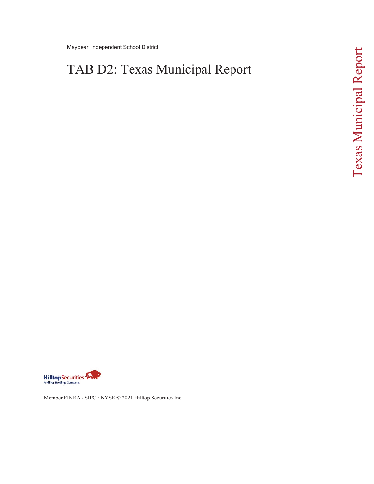Maypearl Independent School District

# TAB D2: Texas Municipal Report



Member FINRA / SIPC / NYSE © 2021 Hilltop Securities Inc.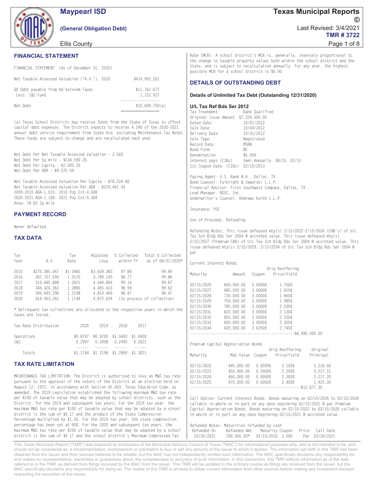

**Maypearl ISD** 

(General Obligation Debt)

Ellis County

#### **FINANCIAL STATEMENT**

|                                                         | FINANCIAL STATEMENT (As of December 31, 2020) |                           |
|---------------------------------------------------------|-----------------------------------------------|---------------------------|
|                                                         | Net Taxable Assessed Valuation ("A.V."), 2020 | \$414,903,261             |
| GO Debt payable from Ad Valorem Taxes<br>Less: I&S Fund |                                               | \$11.762.677<br>1.152.927 |
| Net Debt                                                |                                               | \$10.609.750(a)           |

(a) Texas School Districts may receive funds from the State of Texas to offset capital debt expenses. The District expects to receive 4.24% of the 2020-2021 annual debt service requirement from State Aid, excluding Maintenance Tax Notes. These funds are subject to change and are recalculated each year.

Net Debt Per Net Taxable Assessed Valuation - 2.56% Net Debt Per Sq mile - \$134,590.26 Net Debt Per Capita - \$2,000.33 Net Debt Per ADA - \$9,575.59

Net Taxable Assessed Valuation Per Capita - \$78 224 60 Net Taxable Assessed Valuation Per ADA - \$374,461.43 2009-2010 ADA-1,015; 2010 Pop Est-4,608 2020-2021 ADA-1,108; 2021 Pop Est-5,304 Area: 78.83 Sq mile

#### **PAYMENT RECORD**

Never defaulted

#### **TAX DATA**

| Tax  |               | Tax      | Adjusted    | % Collected | Total % Collected          |
|------|---------------|----------|-------------|-------------|----------------------------|
| Year | A.V.          | Rate     | Levy        | within FY   | as of 08/31/2020           |
| 2015 | \$270.385.067 | \$1,3460 | \$3.639.383 | 97.89       | 99.89                      |
| 2016 | 287.707.593   | 1.3170   | 3.789.109   | 98.77       | 99.86                      |
| 2017 | 310.640.888   | 1.3021   | 4.044.854   | 99.14       | 99.87                      |
| 2018 | 346.424.363   | 1.2890   | 4.465.410   | 98.99       | 99.62                      |
| 2019 | 394.693.296   | 1.2198   | 4.814.469   | 98.47       | 98.47                      |
| 2020 | 414.903.261   | 1.1744   | 4.872.624   |             | (In process of collection) |

\* Delinquent tax collections are allocated to the respective years in which the heivel are layied

| Tax Rate Distribution | 2020 | 2019                                                                       | 2018 | 2017 |  |
|-----------------------|------|----------------------------------------------------------------------------|------|------|--|
| Operations<br>T&S.    |      | \$0.8747 \$0.9700 \$1.0400 \$1.0400<br>$0.2997$ $0.2498$ $0.2490$ $0.2621$ |      |      |  |
| Totals                |      | \$1.1744 \$1.2198 \$1.2890 \$1.3021                                        |      |      |  |

#### **TAX RATE LIMITATION**

MAINTENANCE TAX LIMITATION: The District is authorized to levy an M&O tax rate pursuant to the approval of the voters of the District at an election held on August 12, 1972, in accordance with Section 45.003, Texas Education Code, as amended. The 2019 Legislation established the following maximum M&O tax rate per \$100 of taxable value that may be adopted by school districts, such as the District, for the 2019 and subsequent tax years: For the 2019 tax year, the maximum M&O tax rate per \$100 of taxable value that may be adopted by a school district is the sum of \$0.17 and the product of the State Compression Percentage multiplied by \$1.00. For the 2019 tax year, the state compression percentage has been set at 93%. For the 2020 and subsequent tax years, the maximum M&O tax rate per \$100 of taxable value that may be adopted by a school district is the sum of \$0.17 and the school district's Maximum Compressed Tax

Rate (MCR). A school district's MCR is, generally, inversely proportional to the change in taxable property values both within the school district and the State, and is subject to recalculation annually. For any year, the highest possible MCR for a school district is \$0.93

#### **DETAILS OF OUTSTANDING DEBT**

#### Details of Unlimited Tax Debt (Outstanding 12/31/2020)

#### U/L Tax Ref Bds Ser 2012

| Tax Treatment:                           | Bank Oualified                                   |
|------------------------------------------|--------------------------------------------------|
| Original Issue Amount \$7,224,000.00     |                                                  |
| Dated Date:                              | 10/01/2012                                       |
| Sale Date:                               | 10/04/2012                                       |
| Delivery Date:                           | 10/31/2012                                       |
| Sale Type:                               | Negotiated                                       |
| Record Date:                             | <b>MSRB</b>                                      |
| Bond Form:                               | <b>BF</b>                                        |
| Denomination                             | \$5,000                                          |
|                                          | Interest pays (CIBs) Semi-Annually: 08/15, 02/15 |
| 1st Coupon Date: (CIBs) 02/15/2013       |                                                  |
| Paying Agent: U.S. Bank N.A., Dallas, TX |                                                  |

Bond Counsel: Fulbright & Jaworski L.L.P. Financial Advisor: First Southwest Company, Dallas, TX Lead Manager: BOSC. Inc. Underwriter's Counsel: Andrews Kurth L.L.P.

Insurance: PSF

Use of Proceeds: Refunding.

Cunnont Intonoct Donde

Refunding Notes: This issue defeased mty(s) 2/15/2022-2/15/2026 (CAB's) of U/L Tax Sch Bldg Bds Ser 2004 @ accreted value. This issue defeased mty(s) 2/15/2027 (Premium CAB) of U/L Tax Sch Bldg Bds Ser 2004 @ accreted value. This issue defeased mty(s) 2/15/2029, 2/15/2034 of U/L Tax Sch Bldg Bds Ser 2004 @ par.

| CALLELL THREES POINS                 |                           |         |                                        |          |  |  |
|--------------------------------------|---------------------------|---------|----------------------------------------|----------|--|--|
|                                      |                           |         | Orig Reoffering                        |          |  |  |
| Maturity                             | Amount                    |         | Coupon Price/Yield                     |          |  |  |
|                                      |                           |         |                                        |          |  |  |
| 02/15/2026                           | 660,000.00                | 3.0000% | 1.760%                                 |          |  |  |
| 02/15/2027                           | 685,000.00                | 3.0000% | 1.810%                                 |          |  |  |
| 02/15/2028                           | 720,000.00                | 3.0000% | 1.860%                                 |          |  |  |
| 02/15/2029                           | 750.000.00                | 3.0000% | 1.980%                                 |          |  |  |
| 02/15/2030                           | 785,000.00                | 3.0000% | 2.030%                                 |          |  |  |
| 02/15/2031                           | 820.000.00 3.0000%        |         | 2.130%                                 |          |  |  |
| 02/15/2032                           | 855,000.00                | 3.0000% | 2.230%                                 |          |  |  |
| 02/15/2033                           | 600.000.00 3.0000% 2.350% |         |                                        |          |  |  |
| 02/15/2034 620.000.00 2.6250% 2.740% |                           |         |                                        |          |  |  |
|                                      |                           |         |                                        |          |  |  |
|                                      |                           |         |                                        |          |  |  |
|                                      |                           |         |                                        |          |  |  |
| Premium Capital Appreciation Bonds   |                           |         |                                        |          |  |  |
|                                      |                           |         | Orig Reoffering Original               |          |  |  |
| Maturity                             |                           |         | Mat Value Coupon Price/Yield Principal |          |  |  |
|                                      |                           |         |                                        |          |  |  |
| 02/15/2022                           | 445,000.00                | 0.0000% | 2.100%                                 | 5.518.00 |  |  |
| 02/15/2023                           | 455,000.00                |         | $0.00008$ 2.200%                       | 3.517.15 |  |  |
| 02/15/2024                           | 460.000.00                |         | $0.00008$ 2.300%                       | 2,217.20 |  |  |
| 02/15/2025                           | 475.000.00                |         | $0.00008$ 2.400% 1.425.00              |          |  |  |
|                                      |                           |         |                                        |          |  |  |

Call Option: Current Interest Bonds: Bonds maturing on 02/15/2026 to 02/15/2034 callable in whole or in part on any date beginning 02/15/2021 @ par. Premium Capital Appreciation Bonds: Bonds maturing on 02/15/2022 to 02/15/2025 callable in whole or in part on any date beginning 02/15/2021 @ accreted value.

| Refunded Notes: Maturities refunded by cash |               |                  |  |                 |
|---------------------------------------------|---------------|------------------|--|-----------------|
| Refunded On                                 | Refunded Amt  | Maturity Coupon  |  | Price Call Date |
| 03/26/2021                                  | $290.000.00*$ | 02/15/2033 3.000 |  | Par 03/26/2021  |

This Texas Municipal Report ("TMR") was prepared by employees of the Municipal Advisory Council of Texas ("MAC") for informational purposes only, and is not intended to be, and should not be considered as, a recommendation, endorsement or solicitation to buy or sell any security of the issuer to which it applies. The information set forth in this TMR has been obtained from the issuer and from sources believed to be reliable, but the MAC has not independently verified such information. The MAC specifically disclaims any responsibility for, and makes no representations, warranties or guarantees about, the completeness or accuracy of such information. In this connection, this TMR reflects information as of the date referred to in the TMR, as derived from filings received by the MAC from the issuer. This TMR will be updated in the ordinary course as filings are received from the issuer, but the MAC specifically disclaims any responsibility for doing so. The reader of this TMR is advised to obtain current information from other sources before making any investment decision respecting the securities of this issuer.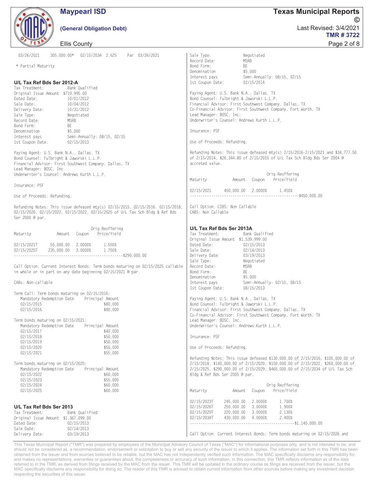| <b>Maypearl ISD</b>                                                                                                                                                                                                                                                                                                                                                                                                                                                                                                                                                                                                                                                                                                                                                                                                                         | <b>Texas Municipal Reports</b>                                                                                                                                                                                                                                                                                                                                                                                                                                                                                                                                                                                                                                                                                                                                                    |
|---------------------------------------------------------------------------------------------------------------------------------------------------------------------------------------------------------------------------------------------------------------------------------------------------------------------------------------------------------------------------------------------------------------------------------------------------------------------------------------------------------------------------------------------------------------------------------------------------------------------------------------------------------------------------------------------------------------------------------------------------------------------------------------------------------------------------------------------|-----------------------------------------------------------------------------------------------------------------------------------------------------------------------------------------------------------------------------------------------------------------------------------------------------------------------------------------------------------------------------------------------------------------------------------------------------------------------------------------------------------------------------------------------------------------------------------------------------------------------------------------------------------------------------------------------------------------------------------------------------------------------------------|
|                                                                                                                                                                                                                                                                                                                                                                                                                                                                                                                                                                                                                                                                                                                                                                                                                                             | (C                                                                                                                                                                                                                                                                                                                                                                                                                                                                                                                                                                                                                                                                                                                                                                                |
| (General Obligation Debt)                                                                                                                                                                                                                                                                                                                                                                                                                                                                                                                                                                                                                                                                                                                                                                                                                   | Last Revised: 3/4/2021<br><b>TMR#3722</b>                                                                                                                                                                                                                                                                                                                                                                                                                                                                                                                                                                                                                                                                                                                                         |
| <b>Ellis County</b>                                                                                                                                                                                                                                                                                                                                                                                                                                                                                                                                                                                                                                                                                                                                                                                                                         | Page 2 of 8                                                                                                                                                                                                                                                                                                                                                                                                                                                                                                                                                                                                                                                                                                                                                                       |
| 03/26/2021<br>305,000.00* 02/15/2034 2.625 Par 03/26/2021                                                                                                                                                                                                                                                                                                                                                                                                                                                                                                                                                                                                                                                                                                                                                                                   | Sale Type:<br>Negotiated                                                                                                                                                                                                                                                                                                                                                                                                                                                                                                                                                                                                                                                                                                                                                          |
| * Partial Maturity                                                                                                                                                                                                                                                                                                                                                                                                                                                                                                                                                                                                                                                                                                                                                                                                                          | Record Date:<br><b>MSRB</b><br>Bond Form:<br>BE<br>Denomination<br>\$5,000                                                                                                                                                                                                                                                                                                                                                                                                                                                                                                                                                                                                                                                                                                        |
| U/L Tax Ref Bds Ser 2012-A<br>Tax Treatment:<br>Bank Qualified<br>Original Issue Amount \$719,995.00<br>Dated Date:<br>10/01/2012<br>Sale Date:<br>10/04/2012<br>Delivery Date:<br>10/31/2012<br>Sale Type:<br>Negotiated<br><b>MSRB</b><br>Record Date:<br>Bond Form:<br>BE<br>\$5,000<br>Denomination<br>Interest pays<br>Semi-Annually: 08/15, 02/15<br>1st Coupon Date:<br>02/15/2013<br>Paying Agent: U.S. Bank N.A., Dallas, TX<br>Bond Counsel: Fulbright & Jaworski L.L.P.<br>Financial Advisor: First Southwest Company, Dallas, TX<br>Lead Manager: BOSC, Inc.<br>Underwriter's Counsel: Andrews Kurth L.L.P.<br>Insurance: PSF<br>Use of Proceeds: Refunding.<br>Refunding Notes: This issue defeased mty(s) 02/15/2015, 02/15/2016, 02/15/2018,<br>02/15/2020, 02/15/2022, 02/15/2022, 02/15/2025 of U/L Tax Sch Bldg & Ref Bds | Interest pays<br>Semi-Annually: 08/15, 02/15<br>1st Coupon Date:<br>02/15/2014<br>Paying Agent: U.S. Bank N.A., Dallas, TX<br>Bond Counsel: Fulbright & Jaworski L.L.P.<br>Financial Advisor: First Southwest Company, Dallas, TX<br>Co-Financial Advisor: First Southwest Company, Fort Worth, TX<br>Lead Manager: BOSC, Inc.<br>Underwriter's Counsel: Andrews Kurth L.L.P.<br>Insurance: PSF<br>Use of Proceeds: Refunding.<br>Refunding Notes: This issue defeased mty(s) 2/15/2016-2/15/2021 and \$34,777.50<br>of 2/15/2014, \$26,344.80 of 2/15/2015 of U/L Tax Sch Bldg Bds Ser 2004 @<br>accreted value.<br>Orig Reoffering<br>Amount Coupon Price/Yield<br>Maturity<br>450,000.00 2.0000% 1.450%<br>02/15/2021<br>Call Option: CIBS: Non Callable<br>CABS: Non Callable |
| Ser 2000 @ par.                                                                                                                                                                                                                                                                                                                                                                                                                                                                                                                                                                                                                                                                                                                                                                                                                             |                                                                                                                                                                                                                                                                                                                                                                                                                                                                                                                                                                                                                                                                                                                                                                                   |
| Orig Reoffering<br>Amount Coupon Price/Yield<br>Maturity<br>02/15/2021T 55.000.00 2.0000%<br>1.550%<br>02/15/2025T<br>235,000.00 3.0000%<br>1.750%<br>Call Option: Current Interest Bonds: Term bonds maturing on 02/15/2025 callable<br>in whole or in part on any date beginning 02/15/2021 @ par.<br>CABs: Non-callable                                                                                                                                                                                                                                                                                                                                                                                                                                                                                                                  | U/L Tax Ref Bds Ser 2013A<br>Tax Treatment:<br>Bank Qualified<br>Original Issue Amount \$1,539,999.00<br>Dated Date:<br>02/15/2013<br>Sale Date:<br>02/14/2013<br>03/19/2013<br>Delivery Date:<br>Sale Type:<br>Negotiated<br>Record Date:<br><b>MSRB</b><br>Bond Form:<br>BE<br>Denomination<br>\$5,000<br>Interest pays<br>Semi-Annually: 02/15, 08/15<br>1st Coupon Date:<br>08/15/2013                                                                                                                                                                                                                                                                                                                                                                                        |
| Term Call: Term bonds maturing on 02/15/2016:<br>Mandatory Redemption Date<br>Principal Amount<br>02/15/2015<br>\$80,000<br>02/15/2016<br>\$80,000<br>Term bonds maturing on 02/15/2021:                                                                                                                                                                                                                                                                                                                                                                                                                                                                                                                                                                                                                                                    | Paying Agent: U.S. Bank N.A., Dallas, TX<br>Bond Counsel: Fulbright & Jaworski L.L.P.<br>Financial Advisor: First Southwest Company, Dallas, TX<br>Co-Financial Advisor: First Southwest Company, Fort Worth, TX<br>Lead Manager: BOSC, Inc.                                                                                                                                                                                                                                                                                                                                                                                                                                                                                                                                      |
| Mandatory Redemption Date<br>Principal Amount<br>02/15/2017<br>\$40,000<br>02/15/2018<br>\$50,000<br>02/15/2019<br>\$50,000<br>02/15/2020<br>\$50,000<br>02/15/2021<br>\$55,000                                                                                                                                                                                                                                                                                                                                                                                                                                                                                                                                                                                                                                                             | Underwriter's Counsel: Andrews Kurth L.L.P.<br>Insurance: PSF<br>Use of Proceeds: Refunding.                                                                                                                                                                                                                                                                                                                                                                                                                                                                                                                                                                                                                                                                                      |
| Term bonds maturing on 02/15/2025:<br>Mandatory Redemption Date<br>Principal Amount<br>02/15/2022<br>\$60,000<br>02/15/2023<br>\$55,000<br>02/15/2024<br>\$60,000<br>02/15/2025<br>\$60,000                                                                                                                                                                                                                                                                                                                                                                                                                                                                                                                                                                                                                                                 | Refunding Notes: This issue defeased \$130,000.00 of 2/15/2016, \$105,000.00 of<br>2/15/2018, \$140,000.00 of 2/15/2020, \$150,000.00 of 2/15/2022, \$260,000.00 of<br>2/15/2025, \$290,000.00 of 2/15/2029, \$465,000.00 of 2/15/2034 of U/L Tax Sch<br>Bldg & Ref Bds Ser 2005 @ par.<br>Orig Reoffering<br>Price/Yield<br>Maturity<br>Amount<br>Coupon                                                                                                                                                                                                                                                                                                                                                                                                                         |
| U/L Tax Ref Bds Ser 2013<br>Tax Treatment:<br>Bank Qualified<br>Original Issue Amount \$1,367,099.00<br>Dated Date:<br>02/15/2013<br>Sale Date:<br>02/14/2013<br>Delivery Date:<br>03/19/2013                                                                                                                                                                                                                                                                                                                                                                                                                                                                                                                                                                                                                                               | 02/15/2023T<br>245,000.00<br>2.0000%<br>1.700%<br>02/15/2026T<br>250,000.00<br>3.0000%<br>1.900%<br>2.130%<br>02/15/2029T<br>220,000.00<br>3.0000%<br>430,000.00<br>4.0000%<br>2.400%<br>02/15/2034T<br>Call Option: Current Interest Bonds: Term bonds maturing on 02/15/2026 and                                                                                                                                                                                                                                                                                                                                                                                                                                                                                                |

This Texas Municipal Report ("TMR") was prepared by employees of the Municipal Advisory Council of Texas ("MAC") for informational purposes only, and is not intended to be, and should not be considered as, a recommendation obtained from the issuer and from sources believed to be reliable, but the MAC has not independently verified such information. The MAC specifically disclaims any responsibility for, and makes no representations, warranties or guarantees about, the completeness or accuracy of such information. In this connection, this TMR reflects information as of the date<br>referred to in the TMR, as derived from filin MAC specifically disclaims any responsibility for doing so. The reader of this TMR is advised to obtain current information from other sources before making any investment decision respecting the securities of this issuer.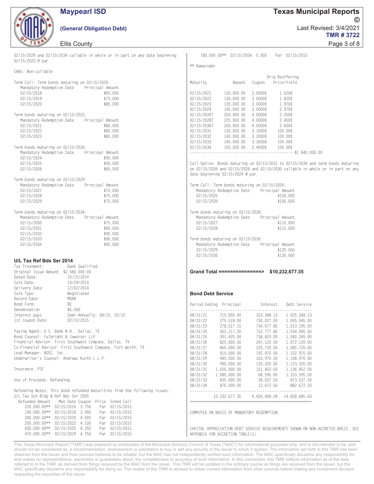

### **Maypearl ISD**

#### (General Obligation Debt)

Filis County

| Lillo Obditty                                                                                                                                                                                                                                                                                                                                                                      | i aye o oi o                                                                                                                                                                                                                                                                                                                                                                                           |
|------------------------------------------------------------------------------------------------------------------------------------------------------------------------------------------------------------------------------------------------------------------------------------------------------------------------------------------------------------------------------------|--------------------------------------------------------------------------------------------------------------------------------------------------------------------------------------------------------------------------------------------------------------------------------------------------------------------------------------------------------------------------------------------------------|
| 02/15/2029 and 02/15/2034 callable in whole or in part on any date beginning<br>02/15/2023 @ par.                                                                                                                                                                                                                                                                                  | 780.000.00** 02/15/2034 5.000 Par 02/15/2015                                                                                                                                                                                                                                                                                                                                                           |
| CABs: Non-callable                                                                                                                                                                                                                                                                                                                                                                 | ** Remainder                                                                                                                                                                                                                                                                                                                                                                                           |
| Term Call: Term bonds maturing on 02/15/2020:<br>Mandatory Redemption Date Principal Amount<br>02/15/2018<br>\$65,000<br>\$75,000<br>02/15/2019<br>\$85,000<br>02/15/2020                                                                                                                                                                                                          | Orig Reoffering<br>Amount Coupon Price/Yield<br>Maturity<br>02/15/2021<br>130,000.00<br>3.0000%<br>1.620%<br>130,000.00<br>3.0000%<br>1.820%<br>02/15/2022<br>02/15/2023<br>135,000.00<br>3.0000%<br>1.970%                                                                                                                                                                                            |
| Term bonds maturing on 02/15/2023:<br>Mandatory Redemption Date Principal Amount<br>02/15/2021<br>\$80,000<br>02/15/2022<br>\$80,000<br>02/15/2023<br>\$85,000                                                                                                                                                                                                                     | 02/15/2024<br>145,000.00<br>3.0000%<br>2.070%<br>250,000.00<br>4.0000%<br>2.250%<br>02/15/2026T<br>02/15/2028T<br>225,000.00<br>4.0000%<br>2.450%<br>02/15/2030T<br>250,000.00<br>4.0000% 2.600%<br>02/15/2031<br>135,000.00 3.1000% 100.00%<br>02/15/2032<br>140,000.00 3.2000%<br>100.00%<br>02/15/2033  145,000.00  3.3000%  100.00%                                                                |
| Term bonds maturing on 02/15/2026:<br>Mandatory Redemption Date Principal Amount<br>02/15/2024<br>\$95,000<br>02/15/2025<br>\$90,000<br>02/15/2026<br>\$65,000                                                                                                                                                                                                                     | 02/15/2034  155,000.00  3.4000%  100.00%<br>Call Option: Bonds maturing on 02/15/2031 to 02/15/2034 and term bonds maturing<br>on 02/15/2026 and 02/15/2028 and 02/15/2030 callable in whole or in part on any<br>date beginning 02/15/2024 @ par.                                                                                                                                                     |
| Term bonds maturing on 02/15/2029:<br>Mandatory Redemption Date Principal Amount<br>02/15/2027<br>$$70,000$<br>$$75,000$<br>02/15/2028<br>\$75,000<br>02/15/2029                                                                                                                                                                                                                   | Term Call: Term bonds maturing on 02/15/2026:<br>Mandatory Redemption Date Principal Amount<br>02/15/2025<br>\$150,000<br>02/15/2026<br>\$100,000                                                                                                                                                                                                                                                      |
| Term bonds maturing on 02/15/2034:<br>Mandatory Redemption Date Principal Amount<br>02/15/2030<br>\$75,000<br>02/15/2031<br>\$80,000<br>02/15/2032<br>\$90,000<br>02/15/2033<br>\$90,000<br>\$95,000<br>02/15/2034                                                                                                                                                                 | Term bonds maturing on 02/15/2028:<br>Mandatory Redemption Date Principal Amount<br>02/15/2027<br>\$110,000<br>02/15/2028<br>\$115,000<br>Term bonds maturing on 02/15/2030:<br>Mandatory Redemption Date Principal Amount<br>$02/15/2029$ $$120,000$<br>$02/15/2030$ $$130,000$                                                                                                                       |
| U/L Tax Ref Bds Ser 2014<br>Tax Treatment:<br>Bank Qualified<br>Original Issue Amount \$2,580,000.00<br>Dated Date:<br>10/15/2014<br>Sale Date:<br>10/29/2014<br>Delivery Date:<br>12/02/2014<br>Sale Type:<br>Negotiated<br>Record Date:<br>MSRB<br>Bond Form:<br>BE<br>\$5,000<br>Denomination<br>Semi-Annually: 08/15, 02/15<br>Interest pays<br>1st Coupon Date:<br>02/15/2015 | 02/15/2030<br>\$130,000<br>Grand Total ===============> \$10,232,677.35<br><b>Bond Debt Service</b><br>Period Ending Principal Materest Debt Service<br>08/31/21 715,000.00 310,348.13 1,025,348.13<br>08/31/22<br>275,518.00<br>730,027.00<br>1,005,545.00                                                                                                                                            |
| Paying Agent: U.S. Bank N.A., Dallas, TX<br>Bond Counsel: Fulbright & Jaworski LLP<br>Financial Advisor: First Southwest Company, Dallas, TX<br>Co-Financial Advisor: First Southwest Company, Fort Worth, TX<br>Lead Manager: BOSC, Inc.<br>Underwriter's Counsel: Andrews Kurth L.L.P.                                                                                           | 08/31/23<br>278, 517.15<br>734.677.85<br>1,013,195.00<br>08/31/24<br>302, 217.20<br>732,777.80<br>1,034,995.00<br>08/31/25<br>738,820.00<br>301,425.00<br>1,040,245.00<br>08/31/26<br>825,000.00<br>247,120.00<br>1,072,120.00<br>08/31/27<br>865,000.00<br>220,720.00<br>1,085,720.00<br>192,970.00<br>08/31/28<br>910,000.00<br>1,102,970.00<br>08/31/29<br>163,970.00<br>945,000.00<br>1,108,970.00 |
| Insurance: PSF                                                                                                                                                                                                                                                                                                                                                                     | 08/31/30<br>990,000.00<br>133,320.00<br>1,123,320.00<br>08/31/31<br>101,452.50<br>1,035,000.00<br>1,136,452.50                                                                                                                                                                                                                                                                                         |
| Use of Proceeds: Refunding.                                                                                                                                                                                                                                                                                                                                                        | 08/31/32<br>1,085,000.00<br>68,595.00<br>1, 153, 595.00<br>08/31/33<br>835,000.00<br>38,537.50<br>873.537.50                                                                                                                                                                                                                                                                                           |
| Refunding Notes: This bond refunded maturities from the following issues:<br>U/L Tax Sch Bldg & Ref Bds Ser 2005<br>Refunded Amount<br>Mat Date Coupon Price Sched Call<br>220,000.00** 02/15/2016 3.750<br>Par 02/15/2015<br>190,000.00** 02/15/2018 3.900<br>Par 02/15/2015<br>240,000.00** 02/15/2020 4.000<br>Par 02/15/2015                                                   | 08/31/34<br>12,672.50<br>882, 672.50<br>870,000.00<br><u>.</u><br>.<br>-------------------<br>10, 232, 677. 35<br>4,426,008.28<br>14,658,685.63<br>----------------<br>COMPUTED ON BASIS OF MANDATORY REDEMPTION                                                                                                                                                                                       |
| 255,000.00** 02/15/2022 4.100<br>Par 02/15/2015<br>435,000.00** 02/15/2025 4.250<br>Par 02/15/2015<br>470,000.00** 02/15/2029 4.750<br>Par 02/15/2015                                                                                                                                                                                                                              | CAPITAL APPRECIATION DEBT SERVICE REQUIREMENTS SHOWN ON NON-ACCRETED BASIS. SEE<br>APPENDIX FOR ACCRETION TABLE(S).                                                                                                                                                                                                                                                                                    |

This Texas Municipal Report ("TMR") was prepared by employees of the Municipal Advisory Council of Texas ("MAC") for informational purposes only, and is not intended to be, and should not be considered as, a recommendation, endorsement or solicitation to buy or sell any security of the issuer to which it applies. The information set forth in this TMR has been obtained from the issuer and from sources believed to be reliable, but the MAC has not independently verified such information. The MAC specifically disclaims any responsibility for, and makes no representations, warranties or guarantees about, the completeness or accuracy of such information. In this connection, this TMR reflects information as of the date<br>referred to in the TMR, as derived from filin MAC specifically disclaims any responsibility for doing so. The reader of this TMR is advised to obtain current information from other sources before making any investment decision respecting the securities of this issuer.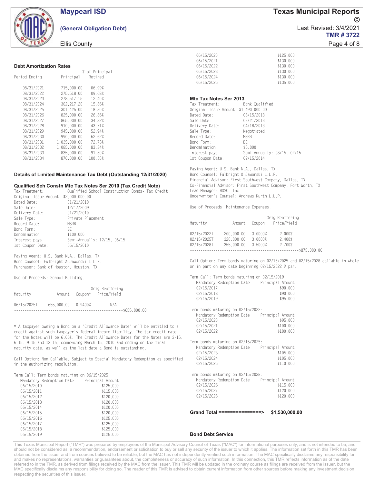|                                                                       | <b>Maypearl ISD</b>                                                                                                                                                                                | <b>Texas Municipal Reports</b>                                                                                                                                                                                                                                                              |
|-----------------------------------------------------------------------|----------------------------------------------------------------------------------------------------------------------------------------------------------------------------------------------------|---------------------------------------------------------------------------------------------------------------------------------------------------------------------------------------------------------------------------------------------------------------------------------------------|
|                                                                       | (General Obligation Debt)                                                                                                                                                                          | Last Revised: 3/4/2021<br><b>TMR#3722</b>                                                                                                                                                                                                                                                   |
|                                                                       | <b>Ellis County</b>                                                                                                                                                                                | Page 4 of 8                                                                                                                                                                                                                                                                                 |
|                                                                       |                                                                                                                                                                                                    | 06/15/2020<br>\$125,000                                                                                                                                                                                                                                                                     |
|                                                                       |                                                                                                                                                                                                    | 06/15/2021<br>\$130,000                                                                                                                                                                                                                                                                     |
| <b>Debt Amortization Rates</b>                                        | % of Principal                                                                                                                                                                                     | 06/15/2022<br>\$130,000<br>06/15/2023<br>\$130,000                                                                                                                                                                                                                                          |
| Period Ending                                                         | Retired<br>Principal                                                                                                                                                                               | 06/15/2024<br>\$130,000                                                                                                                                                                                                                                                                     |
|                                                                       |                                                                                                                                                                                                    | 06/15/2025<br>\$135,000                                                                                                                                                                                                                                                                     |
| 08/31/2021<br>08/31/2022                                              | 715,000.00<br>06.99%<br>09.68%<br>275,518.00                                                                                                                                                       |                                                                                                                                                                                                                                                                                             |
| 08/31/2023                                                            | 12.40%<br>278, 517. 15                                                                                                                                                                             | Mtc Tax Notes Ser 2013                                                                                                                                                                                                                                                                      |
| 08/31/2024<br>08/31/2025                                              | 15.36%<br>302, 217.20<br>18.30%<br>301,425.00                                                                                                                                                      | Tax Treatment:<br>Bank Qualified<br>Original Issue Amount \$1,490,000.00                                                                                                                                                                                                                    |
| 08/31/2026                                                            | 26.36%<br>825,000.00                                                                                                                                                                               | Dated Date:<br>03/15/2013                                                                                                                                                                                                                                                                   |
| 08/31/2027                                                            | 865,000.00<br>34.82%                                                                                                                                                                               | Sale Date:<br>03/21/2013                                                                                                                                                                                                                                                                    |
| 08/31/2028<br>08/31/2029                                              | 910,000.00<br>43.71%<br>52.94%<br>945,000.00                                                                                                                                                       | Delivery Date:<br>04/18/2013<br>Sale Type:<br>Negotiated                                                                                                                                                                                                                                    |
| 08/31/2030                                                            | 62.62%<br>990,000.00                                                                                                                                                                               | Record Date:<br><b>MSRB</b>                                                                                                                                                                                                                                                                 |
| 08/31/2031                                                            | 72.73%<br>1,035,000.00                                                                                                                                                                             | Bond Form:<br>BE                                                                                                                                                                                                                                                                            |
| 08/31/2032<br>08/31/2033                                              | 83.34%<br>1,085,000.00<br>91.50%<br>835,000.00                                                                                                                                                     | Denomination<br>\$5,000<br>Interest pays<br>Semi-Annually: 08/15, 02/15                                                                                                                                                                                                                     |
| 08/31/2034                                                            | 870,000.00<br>100.00%                                                                                                                                                                              | 1st Coupon Date:<br>02/15/2014                                                                                                                                                                                                                                                              |
| Tax Treatment:<br>Original Issue Amount \$2,000,000.00<br>Dated Date: | Details of Limited Maintenance Tax Debt (Outstanding 12/31/2020)<br>Qualified Sch Constn Mtc Tax Notes Ser 2010 (Tax Credit Note)<br>Qualified School Construction Bonds- Tax Credit<br>01/21/2010 | Paying Agent: U.S. Bank N.A., Dallas, TX<br>Bond Counsel: Fulbright & Jaworski L.L.P.<br>Financial Advisor: First Southwest Company, Dallas, TX<br>Co-Financial Advisor: First Southwest Company, Fort Worth, TX<br>Lead Manager: BOSC, Inc.<br>Underwriter's Counsel: Andrews Kurth L.L.P. |
| Sale Date:                                                            | 12/17/2009                                                                                                                                                                                         | Use of Proceeds: Maintenance Expenses.                                                                                                                                                                                                                                                      |
| Delivery Date:                                                        | 01/21/2010                                                                                                                                                                                         | Orig Reoffering                                                                                                                                                                                                                                                                             |
| Sale Type:<br>Record Date:                                            | Private Placement<br><b>MSRB</b>                                                                                                                                                                   | Maturity<br>Price/Yield<br>Amount Coupon                                                                                                                                                                                                                                                    |
| Bond Form:                                                            | BE                                                                                                                                                                                                 |                                                                                                                                                                                                                                                                                             |
| Denomination<br>Interest pays                                         | \$100,000<br>Semi-Annually: 12/15, 06/15                                                                                                                                                           | 02/15/2022T<br>200,000.00 3.0000%<br>2.000%<br>320,000.00 3.0000%<br>2.400%<br>02/15/2025T                                                                                                                                                                                                  |
| 1st Coupon Date:                                                      | 06/15/2010                                                                                                                                                                                         | 02/15/2028T<br>355,000.00 3.5000%<br>2.700%                                                                                                                                                                                                                                                 |
| Paying Agent: U.S. Bank N.A., Dallas, TX                              |                                                                                                                                                                                                    |                                                                                                                                                                                                                                                                                             |
| Bond Counsel: Fulbright & Jaworski L.L.P.                             |                                                                                                                                                                                                    | Call Option: Term bonds maturing on 02/15/2025 and 02/15/2028 callable in whole                                                                                                                                                                                                             |
| Purchaser: Bank of Houston, Houston, TX                               |                                                                                                                                                                                                    | or in part on any date beginning 02/15/2022 @ par.                                                                                                                                                                                                                                          |
| Use of Proceeds: School Building.                                     |                                                                                                                                                                                                    | Term Call: Term bonds maturing on 02/15/2019:                                                                                                                                                                                                                                               |
|                                                                       |                                                                                                                                                                                                    | Mandatory Redemption Date Principal Amount<br>02/15/2017<br>\$90,000                                                                                                                                                                                                                        |
| Maturity                                                              | Orig Reoffering<br>Coupon* Price/Yield<br>Amount                                                                                                                                                   | 02/15/2018<br>\$90,000                                                                                                                                                                                                                                                                      |
|                                                                       |                                                                                                                                                                                                    | 02/15/2019<br>\$95,000                                                                                                                                                                                                                                                                      |
| 06/15/2025T                                                           | 655.000.00 0.9400%<br>N/A                                                                                                                                                                          | Term bonds maturing on 02/15/2022:                                                                                                                                                                                                                                                          |
|                                                                       |                                                                                                                                                                                                    | Mandatory Redemption Date<br>Principal Amount                                                                                                                                                                                                                                               |
|                                                                       | * A taxpayer owning a Bond on a "Credit Allowance Date" will be entitled to a                                                                                                                      | 02/15/2020<br>\$95,000<br>02/15/2021<br>\$100,000                                                                                                                                                                                                                                           |
|                                                                       | credit against such taxpayer's federal income liability. The tax credit rate                                                                                                                       | 02/15/2022<br>\$100,000                                                                                                                                                                                                                                                                     |
|                                                                       | for the Notes will be 6.06%. The Credit Allowance Dates for the Notes are 3-15.                                                                                                                    |                                                                                                                                                                                                                                                                                             |
|                                                                       | 6-15, 9-15 and 12-15, commencing March 15, 2010 and ending on the final<br>maturity date, as well as the last date a Bond is outstanding.                                                          | Term bonds maturing on 02/15/2025:<br>Mandatory Redemption Date<br>Principal Amount                                                                                                                                                                                                         |
|                                                                       |                                                                                                                                                                                                    | 02/15/2023<br>\$105,000                                                                                                                                                                                                                                                                     |
|                                                                       | Call Option: Non Callable. Subject to Special Mandatory Redemption as specified                                                                                                                    | 02/15/2024<br>\$105,000<br>02/15/2025<br>\$110,000                                                                                                                                                                                                                                          |
| in the authorizing resolution.                                        |                                                                                                                                                                                                    |                                                                                                                                                                                                                                                                                             |
|                                                                       | Term Call: Term bonds maturing on 06/15/2025:                                                                                                                                                      | Term bonds maturing on 02/15/2028:<br>Mandatory Redemption Date                                                                                                                                                                                                                             |
| Mandatory Redemption Date<br>06/15/2010                               | Principal Amount<br>\$125,000                                                                                                                                                                      | Principal Amount<br>02/15/2026<br>\$115,000                                                                                                                                                                                                                                                 |
| 06/15/2011                                                            | \$115,000                                                                                                                                                                                          | 02/15/2027<br>\$120,000                                                                                                                                                                                                                                                                     |
| 06/15/2012                                                            | \$120,000                                                                                                                                                                                          | 02/15/2028<br>\$120,000                                                                                                                                                                                                                                                                     |
| 06/15/2013<br>06/15/2014                                              | \$120,000<br>\$120,000                                                                                                                                                                             |                                                                                                                                                                                                                                                                                             |
| 06/15/2015                                                            | \$120,000                                                                                                                                                                                          | Grand Total ================><br>\$1,530,000.00                                                                                                                                                                                                                                             |
| 06/15/2016                                                            | \$125,000                                                                                                                                                                                          |                                                                                                                                                                                                                                                                                             |
| 06/15/2017<br>06/15/2018                                              | \$125,000<br>\$125,000                                                                                                                                                                             |                                                                                                                                                                                                                                                                                             |
| 06/15/2019                                                            | \$125,000                                                                                                                                                                                          | <b>Bond Debt Service</b>                                                                                                                                                                                                                                                                    |

This Texas Municipal Report ("TMR") was prepared by employees of the Municipal Advisory Council of Texas ("MAC") for informational purposes only, and is not intended to be, and should not be considered as, a recommendation, endorsement or solicitation to buy or sell any security of the issuer to which it applies. The information set forth in this TMR has been obtained from the issuer and from sources believed to be reliable, but the MAC has not independently verified such information. The MAC specifically disclaims any responsibility for, and makes no representations, warranties or guarantees about, the completeness or accuracy of such information. In this connection, this TMR reflects information as of the date<br>referred to in the TMR, as derived from filin MAC specifically disclaims any responsibility for doing so. The reader of this TMR is advised to obtain current information from other sources before making any investment decision respecting the securities of this issuer.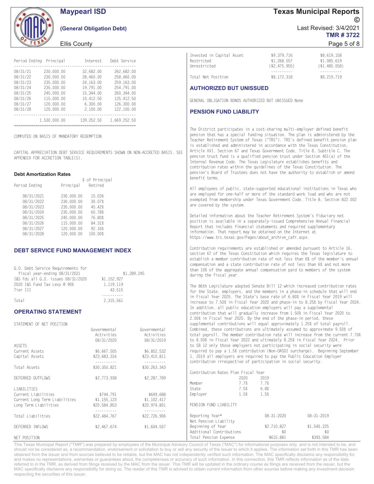

### **Maypearl ISD**

#### (General Obligation Debt)

#### Ellis County

|          | Period Ending Principal | Interest   | Debt Service |
|----------|-------------------------|------------|--------------|
| 08/31/21 | 230.000.00              | 32.682.00  | 262.682.00   |
| 08/31/22 | 230.000.00              | 28.460.00  | 258.460.00   |
| 08/31/23 | 235,000,00              | 24.163.00  | 259.163.00   |
| 08/31/24 | 235.000.00              | 19.791.00  | 254.791.00   |
| 08/31/25 | 245.000.00              | 15.344.00  | 260.344.00   |
| 08/31/26 | 115,000.00              | 10.412.50  | 125.412.50   |
| 08/31/27 | 120.000.00              | 6.300.00   | 126.300.00   |
| 08/31/28 | 120.000.00              | 2.100.00   | 122,100.00   |
|          | 1,530,000.00            | 139.252.50 | 1,669,252.50 |

COMPLITED ON BASIS OF MANDATORY REDEMPTION

CAPITAL APPRECIATION DEBT SERVICE REQUIREMENTS SHOWN ON NON-ACCRETED BASIS. SEE APPENDIX FOR ACCRETION TABLE(S).

 $\sim$   $\sim$   $\sim$   $\sim$   $\sim$ 

#### **Debt Amortization Rates**

| Period Ending | Principal  | % of Principal<br>Retired |
|---------------|------------|---------------------------|
| 08/31/2021    | 230.000.00 | 15.03%                    |
| 08/31/2022    | 230.000.00 | 30.07%                    |
| 08/31/2023    | 235,000.00 | 45.42%                    |
| 08/31/2024    | 235,000.00 | 60.78%                    |
| 08/31/2025    | 245,000,00 | 76.80%                    |
| 08/31/2026    | 115,000.00 | 84.31%                    |
| 08/31/2027    | 120,000.00 | 92.16%                    |
| 08/31/2028    | 120,000.00 | 100.00%                   |

#### **DEBT SERVICE FUND MANAGEMENT INDEX**

| i.O. Debt Service Requirements for |             |
|------------------------------------|-------------|
| fiscal year-ending 08/31/2021      | \$1,289,245 |
| [&S Fds all G.O. issues 08/31/2020 | \$1.152.927 |
| 2020 I&S Fund Tax Levy @ 90%       | 1.119.119   |
| Tier III.                          | 43.515      |
|                                    |             |
| ⊺ntal                              | 2 315 561   |

#### **OPERATING STATEMENT**

| STATEMENT OF NET MOSTLON                  |              |              | SUPPTEMENTS CONTRIBUTIONS WIT  |      |
|-------------------------------------------|--------------|--------------|--------------------------------|------|
|                                           | Governmental | Governmental | Combined, these contributions  |      |
|                                           | Activities   | Activities   | total payroll. The member cont |      |
|                                           | 08/31/2020   | 08/31/2019   | to 8.00% in Fiscal Year 2022 a |      |
| ASSETS                                    |              |              | to SB 12 only those employers  |      |
| Current Assets                            | \$6.667.505  | \$6,852,532  | required to pay a 1.5% contrib |      |
| Capital Assets                            | \$23,683,316 | \$23,410,811 | 1, 2019 all employers are requ |      |
|                                           |              |              | contribution irrespective of p |      |
| Total Assets                              | \$30.350.821 | \$30,263,343 |                                |      |
|                                           |              |              | Contribution Rates Plan Fiscal |      |
| DEFERRED OUTFLOWS                         | \$2,773,938  | \$2,287,789  |                                | 2020 |
|                                           |              |              | Member                         | 7.7% |
| LIABILITIES                               |              |              | State                          | 7.5% |
| Current Liabilities                       | \$744.791    | \$649,688    | Employer                       | 1.5% |
| Current Long Term Liabilities \$1,155,123 |              | \$1,102,417  |                                |      |
| Long Term Liabilities                     | \$20,584,853 | \$20.974.801 | PENSION FUND LIABILITY         |      |
|                                           | -----------  | ----------   |                                |      |
| Total Liabilities                         | \$22,484,767 | \$22,726,906 | Reporting Year*                |      |
|                                           |              |              | Net Pension Liability          |      |
| DEFERRED INFLOWS                          | \$2,467.674  | \$1,604,507  | Beginning of Year              |      |
|                                           |              |              | Additional Contributions       |      |
| NET POSITION                              |              |              | Total Pension Expense          |      |
|                                           |              |              |                                |      |

This Texas Municipal Report ("TMR") was prepared by employees of the Municipal Advisory Council of Texas ("MAC") for informational purposes only, and is not intended to be, and should not be considered as, a recommendation, endorsement or solicitation to buy or sell any security of the issuer to which it applies. The information set forth in this TMR has been obtained from the issuer and from sources believed to be reliable, but the MAC has not independently verified such information. The MAC specifically disclaims any responsibility for, and makes no representations, warranties or guarantees about, the completeness or accuracy of such information. In this connection, this TMR reflects information as of the date referred to in the TMR, as derived from filings received by the MAC from the issuer. This TMR will be updated in the ordinary course as filings are received from the issuer, but the MAC specifically disclaims any responsibility for doing so. The reader of this TMR is advised to obtain current information from other sources before making any investment decision respecting the securities of this issuer.

**Texas Municipal Reports** Last Revised: 3/4/2021 **TMR#3722** 

#### Page 5 of 8

| Total Net Position<br><b>AUTHORIZED BUT UNISSUED</b> | \$8,172,318    | \$8,219,719      |
|------------------------------------------------------|----------------|------------------|
| Invested in Capital Asset                            | \$9,379,716    | \$8.619.158      |
| Restricted                                           | \$1,268.557    | \$1,085,619      |
| Unrestricted                                         | ( \$2,475,955) | $($ \$1,485,058) |

GENERAL OBLIGATION BONDS AUTHORIZED BUT UNISSUED None

#### **PENSION FUND LIABILITY**

The District participates in a cost-sharing multi-employer defined benefit pension that has a special funding situation. The plan is administered by the Teacher Retirement System of Texas ("TRS"). TRS's defined benefit pension plan is established and administered in accordance with the Texas Constitution, Article XVI, Section 67 and Texas Government Code, Title 8, Subtitle C. The pension trust fund is a qualified pension trust under Section 401(a) of the Internal Revenue Code. The Texas Legislature establishes benefits and contribution rates within the guidelines of the Texas Constitution. The pension's Board of Trustees does not have the authority to establish or amend benefit terms.

All employees of public, state-supported educational institutions in Texas who are employed for one-half or more of the standard work load and who are not exempted from membership under Texas Government Code, Title 8, Section 822.002 are covered by the system.

Detailed information about the Teacher Retirement System's fiduciary net position is available in a separately-issued Comprehensive Annual Financial Report that includes financial statements and required supplementary information. That report may be obtained on the Internet at https://www.trs.texas.gov/Pages/about archive cafr.aspx.

Contribution requirements are established or amended pursuant to Article 16, section 67 of the Texas Constitution which requires the Texas legislature to establish a member contribution rate of not less than 6% of the member's annual compensation and a state contribution rate of not less than 6% and not more than 10% of the aggregate annual compensation paid to members of the system during the fiscal year.

The 86th Legislature adopted Senate Bill 12 which increased contribution rates for the State, employers, and the members in a phase-in schedule that will end in Fiscal Year 2025. The State's base rate of 6.80% in Fiscal Year 2019 will increase to 7.50% in Fiscal Year 2020 and phase-in to 8.25% by Fiscal Year 2024. In addition, all public education employers will pay a supplemental contribution that will gradually increase from 1.50% in Fiscal Year 2020 to 2.00% in Fiscal Year 2025. By the end of the phase-in period, these nental contributions will equal approximately 1.25% of total payroll. are ultimately assumed to approximate 9.50% of tribution rate will increase from the current 7.70% and ultimately 8.25% in Fiscal Year 2024. Prior not participating in social security were bution (Non-OASDI surcharge). Beginning September vired to pay the Public Education Employer barticipation in social security.

| ᲔᲐ . Ა4Ა         |                                          |      |                  |                  |  |
|------------------|------------------------------------------|------|------------------|------------------|--|
|                  | Contribution Rates Plan Fiscal Year      |      |                  |                  |  |
| 37.789           |                                          | 2020 | 2019             |                  |  |
|                  | Member                                   | 7.7% | 7.7%             |                  |  |
|                  | State                                    | 7.5% | 6.8%             |                  |  |
| 49.688<br>02.417 | Employer                                 | 1.5% | 1.5%             |                  |  |
| 74.801           | PENSION FUND LIABILITY                   |      |                  |                  |  |
| 26,906           | Reporting Year*<br>Net Pension Liability |      | $08 - 31 - 2020$ | $08 - 31 - 2019$ |  |
| 04.507           | Beginning of Year                        |      | \$2,710,827      | \$1,540,225      |  |
|                  | Additional Contributions                 |      | \$0              | \$0              |  |
|                  | Total Pension Expense                    |      | \$615,881        | \$393,584        |  |
|                  |                                          |      |                  |                  |  |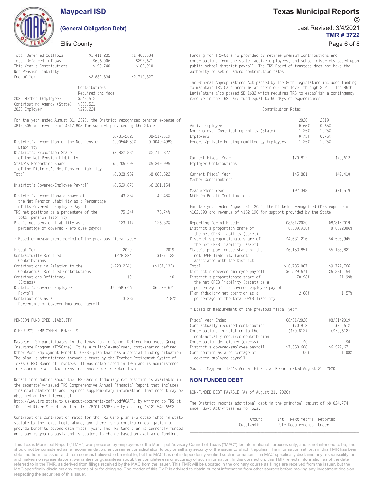|                                                                                                                                                                                                                                                                                                                                                                                                                  | <b>Maypearl ISD</b>                                                                      |                                 |                                       |                                                                                                                                                                                                                                                                                                                                        |                                                     | Texas Municipal Reports                              |
|------------------------------------------------------------------------------------------------------------------------------------------------------------------------------------------------------------------------------------------------------------------------------------------------------------------------------------------------------------------------------------------------------------------|------------------------------------------------------------------------------------------|---------------------------------|---------------------------------------|----------------------------------------------------------------------------------------------------------------------------------------------------------------------------------------------------------------------------------------------------------------------------------------------------------------------------------------|-----------------------------------------------------|------------------------------------------------------|
|                                                                                                                                                                                                                                                                                                                                                                                                                  | (General Obligation Debt)                                                                |                                 |                                       |                                                                                                                                                                                                                                                                                                                                        |                                                     | $\odot$<br>Last Revised: 3/4/2021<br><b>TMR#3722</b> |
| <b>Ellis County</b>                                                                                                                                                                                                                                                                                                                                                                                              |                                                                                          |                                 |                                       |                                                                                                                                                                                                                                                                                                                                        |                                                     | Page 6 of 8                                          |
| Total Deferred Outflows<br>Total Deferred Inflows<br>This Year's Contributions<br>Net Pension Liability                                                                                                                                                                                                                                                                                                          | \$1,411,235<br>\$606,006<br>\$190,740                                                    |                                 | \$1,401,034<br>\$292,671<br>\$165,910 | Funding for TRS-Care is provided by retiree premium contributions and<br>contributions from the state, active employees, and school districts based upon<br>public school district payroll. The TRS Board of trustees does not have the<br>authority to set or amend contribution rates.                                               |                                                     |                                                      |
| End of Year<br>2020 Member (Employee)<br>Contributing Agency (State)<br>2020 Employer                                                                                                                                                                                                                                                                                                                            | \$2,832,834<br>Contributions<br>Required and Made<br>\$543,512<br>\$350,521<br>\$228,224 |                                 | \$2,710,827                           | The General Appropriations Act passed by The 86th Legislature included funding<br>to maintain TRS Care premiums at their current level through 2021. The 86th<br>Legislature also passed SB 1682 which requires TRS to establish a contingency<br>reserve in the TRS-Care fund equal to 60 days of expenditures.<br>Contribution Rates |                                                     |                                                      |
| For the year ended August 31, 2020, the District recognized pension expense of<br>\$817,805 and revenue of \$817,805 for support provided by the State.                                                                                                                                                                                                                                                          |                                                                                          |                                 |                                       | Active Employee<br>Non-Employer Contributing Entity (State)                                                                                                                                                                                                                                                                            | 2020<br>0.65%<br>1.25%                              | 2019<br>0.65%<br>1.25%                               |
| District's Proportion of the Net Pension<br>Liability                                                                                                                                                                                                                                                                                                                                                            |                                                                                          | $08 - 31 - 2020$<br>0.00544953% | $08 - 31 - 2019$<br>0.00492498%       | Employers<br>Federal/private Funding remitted by Employers                                                                                                                                                                                                                                                                             | 0.75%<br>1.25%                                      | 0.75%<br>1.25%                                       |
| District's Proportion Share<br>of the Net Pension Liability<br>State's Proportion Share                                                                                                                                                                                                                                                                                                                          |                                                                                          | \$2,832,834<br>\$5,206,098      | \$2,710,827<br>\$5,349,995            | Current Fiscal Year<br>Employer Contributions                                                                                                                                                                                                                                                                                          | \$70,812                                            | \$70,612                                             |
| of the District's Net Pension Liability<br>Total                                                                                                                                                                                                                                                                                                                                                                 |                                                                                          | \$8,038,932                     | \$8,060,822                           | Current Fiscal Year<br>Member Contributions                                                                                                                                                                                                                                                                                            | \$45,881                                            | \$42,410                                             |
| District's Covered-Employee Payroll<br>District's Proportionate Share of                                                                                                                                                                                                                                                                                                                                         |                                                                                          | \$6,529,671<br>43.38%           | \$6,381,154<br>42.48%                 | Measurement Year<br>NECE On-Behalf Contributions                                                                                                                                                                                                                                                                                       | \$92,348                                            | \$71,519                                             |
| the Net Pension Liability as a Percentage<br>of its Covered - Employee Payroll<br>TRS net position as a percentage of the<br>total pension liability                                                                                                                                                                                                                                                             |                                                                                          | 75.24%                          | 73.74%                                | For the year ended August 31, 2020, the District recognized OPEB expense of<br>\$162,190 and revenue of \$162,190 for support provided by the State.                                                                                                                                                                                   |                                                     |                                                      |
| Plan's net pension liability as a<br>percentage of covered - employee payroll                                                                                                                                                                                                                                                                                                                                    |                                                                                          | 123.11%                         | 126.32%                               | Reporting Period Ended*<br>District's proportion share of<br>the net OPEB liability (asset)                                                                                                                                                                                                                                            | 08/31/2020<br>0.0097930%                            | 08/31/2019<br>0.0092006%                             |
| * Based on measurement period of the previous fiscal year.                                                                                                                                                                                                                                                                                                                                                       |                                                                                          |                                 |                                       | District's proportionate share of<br>the net OPEB liability (asset)                                                                                                                                                                                                                                                                    | \$4,631,216                                         | \$4,593,945                                          |
| Fiscal Year<br>Contractually Required<br>Contributions                                                                                                                                                                                                                                                                                                                                                           |                                                                                          | 2020<br>\$228,224               | 2019<br>\$187.132                     | State's proportionate share of the<br>net OPEB liability (asset)<br>associated with the District                                                                                                                                                                                                                                       | \$6,153,851                                         | \$5,183,821                                          |
| Contributions in Relation to the<br>Contractual Required Contributions<br>Contributions Deficiency<br>(Excess)                                                                                                                                                                                                                                                                                                   |                                                                                          | (\$228, 224)<br>\$0             | ( \$187, 132)<br>\$0                  | Total<br>District's covered-employee payroll<br>District's proportionate share of<br>the net OPEB liability (asset) as a                                                                                                                                                                                                               | \$10,785,067<br>\$6,529,671<br>70.93%               | \$9,777,766<br>\$6,381,154<br>71.99%                 |
| District's Covered Employee<br>Payroll<br>Contributions as a<br>Percentage of Covered Employee Payroll                                                                                                                                                                                                                                                                                                           |                                                                                          | \$7,058,606<br>3.23%            | \$6,529,671<br>2.87%                  | percentage of its covered-employee payroll<br>Plan fiduciary net position as a<br>percentage of the total OPEB liability                                                                                                                                                                                                               | 2.66%                                               | 1.57%                                                |
|                                                                                                                                                                                                                                                                                                                                                                                                                  |                                                                                          |                                 |                                       | * Based on measurement of the previous fiscal year.                                                                                                                                                                                                                                                                                    |                                                     |                                                      |
| PENSION FUND OPEB LIABILITY<br>OTHER POST-EMPLOYMENT BENEFITS                                                                                                                                                                                                                                                                                                                                                    |                                                                                          |                                 |                                       | Fiscal year Ended<br>Contractually required contribution<br>Contributions in relation to the<br>contractually required contribution                                                                                                                                                                                                    | 08/31/2020<br>\$70.812<br>( \$70, 812)              | 08/31/2019<br>\$70.612<br>( \$70, 612)               |
| Maypearl ISD participates in the Texas Public School Retired Employees Group<br>Insurance Program (TRSCare). It is a multiple-employer, cost-sharing defined<br>Other Post-Employment Benefit (OPEB) plan that has a special funding situation.<br>The plan is administered through a trust by the Teacher Retirement System of<br>Texas (TRS) Board of Trustees. It was established in 1986 and is administered |                                                                                          |                                 |                                       | Contribution deficiency (excess)<br>District's covered-employee payroll<br>Contribution as a percentage of<br>covered-employee payroll                                                                                                                                                                                                 | \$0<br>\$7,058,606<br>1.00%                         | \$0<br>\$6,529,671<br>1.08%                          |
| in accordance with the Texas Insurance Code, Chapter 1575.                                                                                                                                                                                                                                                                                                                                                       |                                                                                          |                                 |                                       | Source: Maypearl ISD's Annual Financial Report dated August 31, 2020.                                                                                                                                                                                                                                                                  |                                                     |                                                      |
| Detail information about the TRS-Care's fiduciary net position is available in<br>the separately-issued TRS Comprehensive Annual Financial Report that includes<br>financial statements and required supplementary information. That report may be                                                                                                                                                               |                                                                                          |                                 |                                       | <b>NON FUNDED DEBT</b>                                                                                                                                                                                                                                                                                                                 |                                                     |                                                      |
| obtained on the Internet at<br>http://www.trs.state.tx.us/about/documents/cafr.pdf#CAFR; by writing to TRS at<br>1000 Red River Street, Austin, TX, 78701-2698; or by calling (512) 542-6592.                                                                                                                                                                                                                    |                                                                                          |                                 |                                       | NON-FUNDED DEBT PAYABLE (As of August 31, 2020)<br>The District reports additional debt in the principal amount of \$8,024,774<br>under Govt Activities as follows:                                                                                                                                                                    |                                                     |                                                      |
| Contributions Contribution rates for the TRS-Care plan are established in state<br>statute by the Texas Legislature, and there is no continuing obligation to<br>provide benefits beyond each fiscal year. The TRS-Care plan is currently funded<br>on a pay-as-you-go basis and is subject to change based on available funding.                                                                                |                                                                                          |                                 |                                       | Amount<br>Outstanding                                                                                                                                                                                                                                                                                                                  | Int Next Year's Reported<br>Rate Requirements Under |                                                      |

**Texas Municipal Reports** 

**Maypearl ISD** 

This Texas Municipal Report ("TMR") was prepared by employees of the Municipal Advisory Council of Texas ("MAC") for informational purposes only, and is not intended to be, and should not be considered as, a recommendation, endorsement or solicitation to buy or sell any security of the issuer to which it applies. The information set forth in this TMR has been obtained from the issuer and from sources believed to be reliable, but the MAC has not independently verified such information. The MAC specifically disclaims any responsibility for, and makes no representations, warranties or guarantees about, the completeness or accuracy of such information. In this connection, this TMR reflects information as of the date<br>referred to in the TMR, as derived from filin MAC specifically disclaims any responsibility for doing so. The reader of this TMR is advised to obtain current information from other sources before making any investment decision respecting the securities of this issuer.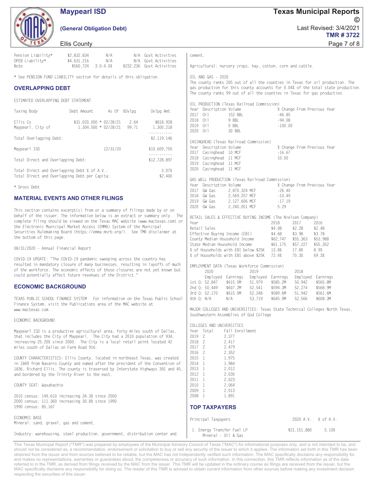### **Maypearl ISD**

#### (General Obligation Debt)

**Texas Municipal Reports**  $\odot$ Last Revised: 3/4/2021 **TMR#3722** Page 7 of 8

#### **Ellis County**

| Pension Liability*                                                                                                                                                                                                                                                                                        | \$2,832,834<br>N/A                                                                                                                                                                                                                                                                                                                                                                                       | N/A Govt Activities                              | cement.                                                                                                                                                                                                |                                                                                                                                                              |  |  |
|-----------------------------------------------------------------------------------------------------------------------------------------------------------------------------------------------------------------------------------------------------------------------------------------------------------|----------------------------------------------------------------------------------------------------------------------------------------------------------------------------------------------------------------------------------------------------------------------------------------------------------------------------------------------------------------------------------------------------------|--------------------------------------------------|--------------------------------------------------------------------------------------------------------------------------------------------------------------------------------------------------------|--------------------------------------------------------------------------------------------------------------------------------------------------------------|--|--|
| OPEB Liability*<br>Note                                                                                                                                                                                                                                                                                   | N/A<br>\$4,631,216<br>$3.0 - 4.0%$<br>\$560,724                                                                                                                                                                                                                                                                                                                                                          | N/A Govt Activities<br>\$232,236 Govt Activities | Agricultural: nursery crops, hay, cotton, corn and cattle.                                                                                                                                             |                                                                                                                                                              |  |  |
|                                                                                                                                                                                                                                                                                                           | * See PENSION FUND LIABILITY section for details of this obligation.                                                                                                                                                                                                                                                                                                                                     |                                                  | OIL AND GAS - 2020                                                                                                                                                                                     | The county ranks 205 out of all the counties in Texas for oil production. The                                                                                |  |  |
| <b>OVERLAPPING DEBT</b>                                                                                                                                                                                                                                                                                   |                                                                                                                                                                                                                                                                                                                                                                                                          |                                                  |                                                                                                                                                                                                        | gas production for this county accounts for 0.04% of the total state production.<br>The county ranks 99 out of all the counties in Texas for gas production. |  |  |
| ESTIMATED OVERLAPPING DEBT STATEMENT                                                                                                                                                                                                                                                                      |                                                                                                                                                                                                                                                                                                                                                                                                          |                                                  | OIL PRODUCTION (Texas Railroad Commission)                                                                                                                                                             |                                                                                                                                                              |  |  |
| Taxing Body                                                                                                                                                                                                                                                                                               | As Of %Ovlpg<br>Debt Amount                                                                                                                                                                                                                                                                                                                                                                              | Ovlpg Amt                                        | Year Description Volume<br>2017 Oil<br>152 BBL                                                                                                                                                         | % Change From Previous Year<br>$-46.85$                                                                                                                      |  |  |
| Ellis Co<br>Maypearl, City of                                                                                                                                                                                                                                                                             | $$31,020,000 * 02/28/21$<br>2.64<br>$1,304,000 * 02/28/21$<br>99.71                                                                                                                                                                                                                                                                                                                                      | \$818,928<br>1.300.218<br>.                      | 2018 Oil<br>9 BBL<br>$-94.08$<br>0 BBL<br>2019 Oil<br>$-100.00$<br>2020 Oil<br>30 BBL                                                                                                                  |                                                                                                                                                              |  |  |
| Total Overlapping Debt:                                                                                                                                                                                                                                                                                   |                                                                                                                                                                                                                                                                                                                                                                                                          | \$2,119,146                                      | CASINGHEAD (Texas Railroad Commission)                                                                                                                                                                 |                                                                                                                                                              |  |  |
| Maypearl ISD                                                                                                                                                                                                                                                                                              | 12/31/20                                                                                                                                                                                                                                                                                                                                                                                                 | \$10.609.750<br><u>.</u>                         | Year Description Volume<br>2017 Casinghead 10 MCF                                                                                                                                                      | % Change From Previous Year<br>$-16.67$                                                                                                                      |  |  |
| Total Direct and Overlapping Debt:                                                                                                                                                                                                                                                                        |                                                                                                                                                                                                                                                                                                                                                                                                          | \$12,728,897                                     | 2018 Casinghead 11 MCF<br>10.00<br>2019 Casinghead 11 MCF                                                                                                                                              |                                                                                                                                                              |  |  |
| Total Direct and Overlapping Debt % of A.V.:<br>Total Direct and Overlapping Debt per Capita:                                                                                                                                                                                                             |                                                                                                                                                                                                                                                                                                                                                                                                          | 3.07%<br>\$2,400                                 | 2020 Casinghead 11 MCF                                                                                                                                                                                 |                                                                                                                                                              |  |  |
| * Gross Debt                                                                                                                                                                                                                                                                                              |                                                                                                                                                                                                                                                                                                                                                                                                          |                                                  | GAS WELL PRODUCTION (Texas Railroad Commission)<br>Year Description Volume                                                                                                                             | % Change From Previous Year                                                                                                                                  |  |  |
|                                                                                                                                                                                                                                                                                                           | <b>MATERIAL EVENTS AND OTHER FILINGS</b>                                                                                                                                                                                                                                                                                                                                                                 |                                                  | 2017 GW Gas<br>2,870,324 MCF<br>2018 GW Gas<br>2,569,257 MCF<br>2019 GW Gas<br>2,127,606 MCF                                                                                                           | $-26.40$<br>$-10.49$<br>$-17.19$                                                                                                                             |  |  |
| the bottom of this page.                                                                                                                                                                                                                                                                                  | This section contains excerpt(s) from or a summary of filings made by or on<br>behalf of the issuer. The information below is an extract or summary only. The<br>complete filing should be viewed on the Texas MAC website (www.mactexas.com) or<br>the Electronic Municipal Market Access (EMMA) System of the Municipal<br>Securities Rulemaking Board (https://emma.msrb.org/). See TMR disclaimer at |                                                  | 2020 GW Gas<br>2.240.051 MCF<br>RETAIL SALES & EFFECTIVE BUYING INCOME (The Nielsen Company)<br>Year<br>Retail Sales<br>Effective Buying Income (EBI)<br>County Median Household Income                | 5.29<br>2017<br>2018<br>2016<br>\$4.0B<br>\$2.2B<br>\$2.4B<br>\$4.6B<br>\$3.9B<br>\$3.7B<br>\$62,747<br>\$55.363<br>\$53,988                                 |  |  |
| 08/31/2020 - Annual Financial Report                                                                                                                                                                                                                                                                      |                                                                                                                                                                                                                                                                                                                                                                                                          |                                                  | State Median Household Income<br>% of Households with EBI below \$25K                                                                                                                                  | \$55,352<br>\$61,175<br>\$57,227<br>13.8%<br>17.8%<br>8.9%                                                                                                   |  |  |
| COVID-19 UPDATE: "The COVID-19 pandemic sweeping across the country has<br>resulted in mandatory closure of many businesses, resulting in layoffs of much<br>of the workforce. The economic effects of those closures are not yet known but<br>could potentially affect future revenues of the District." |                                                                                                                                                                                                                                                                                                                                                                                                          |                                                  | % of Households with EBI above \$25K<br>72.4%<br>70.3%<br>69.3%<br>EMPLOYMENT DATA (Texas Workforce Commission)<br>2020<br>2019<br>2018<br>Employed Earnings<br>Employed Earnings<br>Employed Earnings |                                                                                                                                                              |  |  |
| <b>ECONOMIC BACKGROUND</b>                                                                                                                                                                                                                                                                                |                                                                                                                                                                                                                                                                                                                                                                                                          |                                                  | 1st Q: 52.847<br>\$615.5M<br>51,979<br>2nd 0: 50.449<br>\$607.2M<br>52,541                                                                                                                             | \$585.2M<br>50.942<br>\$565.8M<br>\$594.3M<br>52,274<br>\$568.9M                                                                                             |  |  |
| TEXAS PUBLIC SCHOOL FINANCE SYSTEM For information on the Texas Public School<br>Finance System, visit the Publications area of the MAC website at<br>www.mactexas.com.                                                                                                                                   |                                                                                                                                                                                                                                                                                                                                                                                                          |                                                  | 3rd 0: 52.170<br>\$615.0M<br>52,248<br>4th Q: N/A<br>53,719<br>N/A                                                                                                                                     | 51,942<br>\$589.6M<br>\$561.6M<br>\$645.9M<br>52,566<br>\$608.3M<br>MAJOR COLLEGES AND UNIVERSITIES: Texas State Technical Colleges North Texas,             |  |  |
| ECONOMIC BACKGROUND                                                                                                                                                                                                                                                                                       |                                                                                                                                                                                                                                                                                                                                                                                                          |                                                  | Southwestern Assemblies of God College                                                                                                                                                                 |                                                                                                                                                              |  |  |
| miles south of Dallas on Farm Road 916.                                                                                                                                                                                                                                                                   | Maypearl ISD is a productive agricultural area, forty miles south of Dallas,<br>that includes the City of Maypearl. The City had a 2010 population of 934,<br>increasing 25.20% since 2000. The City is a local retail point located 42                                                                                                                                                                  |                                                  | COLLEGES AND UNIVERSITIES<br>Year Total<br>Fall Enrollment<br>2019 2<br>2,377<br>2018 2<br>2,417<br>2017 2<br>2,479                                                                                    |                                                                                                                                                              |  |  |
| and bordered by the Trinity River to the east.                                                                                                                                                                                                                                                            | COUNTY CHARACTERISTICS: Ellis County, located in northeast Texas, was created<br>in 1849 from Navarro County and named after the president of the Convention of<br>1836, Richard Ellis. The county is traversed by Interstate Highways 35E and 45,                                                                                                                                                       |                                                  | 2016 2<br>2,352<br>2015 1<br>1,975<br>2014 1<br>1,984<br>2013 1<br>2,012<br>2012 1<br>2,030<br>2011 1<br>2.023                                                                                         |                                                                                                                                                              |  |  |
| COUNTY SEAT: Waxahachie                                                                                                                                                                                                                                                                                   |                                                                                                                                                                                                                                                                                                                                                                                                          |                                                  | 2010 1<br>2,064<br>2009 1<br>2.013                                                                                                                                                                     |                                                                                                                                                              |  |  |
| 2010 census: 149,610 increasing 34.3% since 2000<br>2000 census: 111,360 increasing 30.8% since 1990<br>1990 census: 85,167                                                                                                                                                                               |                                                                                                                                                                                                                                                                                                                                                                                                          |                                                  | 2008 1<br>1,891<br><b>TOP TAXPAYERS</b>                                                                                                                                                                |                                                                                                                                                              |  |  |
| ECONOMIC BASE                                                                                                                                                                                                                                                                                             |                                                                                                                                                                                                                                                                                                                                                                                                          |                                                  |                                                                                                                                                                                                        |                                                                                                                                                              |  |  |
| Mineral: sand, gravel, gas and cement.                                                                                                                                                                                                                                                                    |                                                                                                                                                                                                                                                                                                                                                                                                          |                                                  | Principal Taxpayers                                                                                                                                                                                    | 2020 A.V.<br>% of A.V.                                                                                                                                       |  |  |
|                                                                                                                                                                                                                                                                                                           | Industry: warehousing, steel production, government, distribution center and                                                                                                                                                                                                                                                                                                                             |                                                  | 1. Energy Transfer Fuel LP<br>Mineral - Oil & Gas                                                                                                                                                      | \$21,151,880<br>5.10%                                                                                                                                        |  |  |

This Texas Municipal Report ("TMR") was prepared by employees of the Municipal Advisory Council of Texas ("MAC") for informational purposes only, and is not intended to be, and should not be considered as, a recommendation, endorsement or solicitation to buy or sell any security of the issuer to which it applies. The information set forth in this TMR has been obtained from the issuer and from sources believed to be reliable, but the MAC has not independently verified such information. The MAC specifically disclaims any responsibility for, and makes no representations, warranties or guarantees about, the completeness or accuracy of such information. In this connection, this TMR reflects information as of the date<br>referred to in the TMR, as derived from filin MAC specifically disclaims any responsibility for doing so. The reader of this TMR is advised to obtain current information from other sources before making any investment decision respecting the securities of this issuer.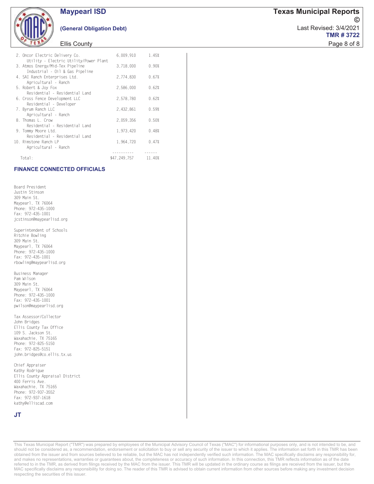

#### (General Obligation Debt)

#### **Ellis County**

| Total:                                                           | \$47.249.757 | 11.40% |  |
|------------------------------------------------------------------|--------------|--------|--|
| 10. Rimstone Ranch LP<br>Agricultural - Ranch                    | 1,964,720    | 0.47%  |  |
| Residential - Residential Land                                   |              |        |  |
| 9. Tommy Moore Ltd.                                              | 1,973,420    | 0.48%  |  |
| Residential - Residential Land                                   |              |        |  |
| Agricultural - Ranch<br>8. Thomas L. Crow                        | 2.059.356    | 0.50%  |  |
| 7. Byrum Ranch LLC                                               | 2.432.861    | 0.59%  |  |
| 6. Cross Fence Development LLC<br>Residential - Developer        | 2,578,780    | 0.62%  |  |
| Residential - Residential Land                                   |              |        |  |
| 5. Robert & Joy Fox                                              | 2.586.000    | 0.62%  |  |
| Agricultural - Ranch                                             |              |        |  |
| Industrial - Oil & Gas Pipeline<br>4. SAI Ranch Enterprises Ltd. | 2.774.830    | 0.67%  |  |
| 3. Atmos Energy/Mid-Tex Pipeline                                 | 3.718.000    | 0.90%  |  |
| Utility - Electric Utility/Power Plant                           |              |        |  |
| 2. Oncor Electric Delivery Co.                                   | 6,009,910    | 1.45%  |  |
|                                                                  |              |        |  |

#### **FINANCE CONNECTED OFFICIALS**

Board President Justin Stinson 309 Main St. Maypearl, TX 76064 Phone: 972-435-1000 Fax: 972-435-1001 jcstinson@maypearlisd.org

Superintendent of Schools Ritchie Bowling 309 Main St. Maypearl, TX 76064 Phone: 972-435-1000 Fax: 972-435-1001 rbowling@maypearlisd.org

Business Manager Pam Wilson 309 Main St. Maypearl, TX 76064 Phone: 972-435-1000 Fax: 972-435-1001 pwilson@maypearlisd.org

Tax Assessor/Collector John Bridges Ellis County Tax Office 109 S. Jackson St. Waxahachie, TX 75165 Phone: 972-825-5150 Fax: 972-825-5151 john.bridges@co.ellis.tx.us

Chief Appraiser Kathy Rodrigue Ellis County Appraisal District 400 Ferris Ave. Waxahachie, TX 75165 Phone: 972-937-3552 Fax: 972-937-1618 kathy@elliscad.com

#### **JT**

This Texas Municipal Report ("TMR") was prepared by employees of the Municipal Advisory Council of Texas ("MAC") for informational purposes only, and is not intended to be, and should not be considered as, a recommendation, endorsement or solicitation to buy or sell any security of the issuer to which it applies. The information set forth in this TMR has been obtained from the issuer and from sources believed to be reliable, but the MAC has not independently verified such information. The MAC specifically disclaims any responsibility for, and makes no representations, warranties or guarantees about, the completeness or accuracy of such information. In this connection, this TMR reflects information as of the date referred to in the TMR, as derived from filings received by the MAC from the issuer. This TMR will be updated in the ordinary course as filings are received from the issuer, but the MAC specifically disclaims any responsibility for doing so. The reader of this TMR is advised to obtain current information from other sources before making any investment decision respecting the securities of this issuer.